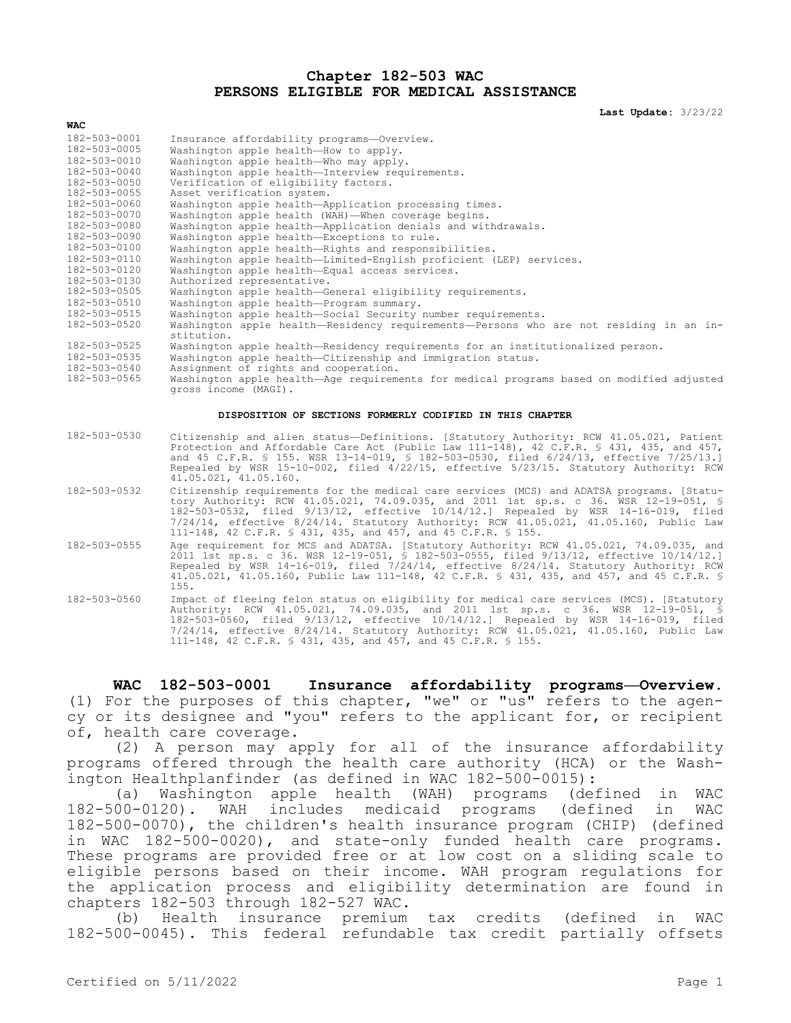#### **Chapter 182-503 WAC PERSONS ELIGIBLE FOR MEDICAL ASSISTANCE**

**Last Update:** 3/23/22

| WAC          |                                                                                                                                                                                                                                                                                                                                                                                                                                       |
|--------------|---------------------------------------------------------------------------------------------------------------------------------------------------------------------------------------------------------------------------------------------------------------------------------------------------------------------------------------------------------------------------------------------------------------------------------------|
| 182-503-0001 | Insurance affordability programs-Overview.                                                                                                                                                                                                                                                                                                                                                                                            |
| 182-503-0005 | Washington apple health-How to apply.                                                                                                                                                                                                                                                                                                                                                                                                 |
| 182-503-0010 | Washington apple health-Who may apply.                                                                                                                                                                                                                                                                                                                                                                                                |
| 182-503-0040 | Washington apple health-Interview requirements.                                                                                                                                                                                                                                                                                                                                                                                       |
| 182-503-0050 | Verification of eligibility factors.                                                                                                                                                                                                                                                                                                                                                                                                  |
| 182-503-0055 | Asset verification system.                                                                                                                                                                                                                                                                                                                                                                                                            |
| 182-503-0060 | Washington apple health-Application processing times.                                                                                                                                                                                                                                                                                                                                                                                 |
| 182-503-0070 | Washington apple health (WAH)-When coverage begins.                                                                                                                                                                                                                                                                                                                                                                                   |
| 182-503-0080 | Washington apple health-Application denials and withdrawals.                                                                                                                                                                                                                                                                                                                                                                          |
| 182-503-0090 | Washington apple health-Exceptions to rule.                                                                                                                                                                                                                                                                                                                                                                                           |
| 182-503-0100 | Washington apple health-Rights and responsibilities.                                                                                                                                                                                                                                                                                                                                                                                  |
| 182-503-0110 | Washington apple health-Limited-English proficient (LEP) services.                                                                                                                                                                                                                                                                                                                                                                    |
| 182-503-0120 | Washington apple health-Equal access services.                                                                                                                                                                                                                                                                                                                                                                                        |
| 182-503-0130 | Authorized representative.                                                                                                                                                                                                                                                                                                                                                                                                            |
| 182-503-0505 | Washington apple health-General eligibility requirements.                                                                                                                                                                                                                                                                                                                                                                             |
| 182-503-0510 | Washington apple health-Program summary.                                                                                                                                                                                                                                                                                                                                                                                              |
| 182-503-0515 | Washington apple health-Social Security number requirements.                                                                                                                                                                                                                                                                                                                                                                          |
| 182-503-0520 | Washington apple health-Residency requirements-Persons who are not residing in an in-<br>stitution.                                                                                                                                                                                                                                                                                                                                   |
| 182-503-0525 | Washington apple health-Residency requirements for an institutionalized person.                                                                                                                                                                                                                                                                                                                                                       |
| 182-503-0535 | Washington apple health-Citizenship and immigration status.                                                                                                                                                                                                                                                                                                                                                                           |
| 182-503-0540 | Assignment of rights and cooperation.                                                                                                                                                                                                                                                                                                                                                                                                 |
| 182-503-0565 | Washington apple health-Age requirements for medical programs based on modified adjusted<br>gross income (MAGI).                                                                                                                                                                                                                                                                                                                      |
|              | DISPOSITION OF SECTIONS FORMERLY CODIFIED IN THIS CHAPTER                                                                                                                                                                                                                                                                                                                                                                             |
| 182-503-0530 | Citizenship and alien status-Definitions. [Statutory Authority: RCW 41.05.021, Patient<br>Protection and Affordable Care Act (Public Law 111-148), 42 C.F.R. § 431, 435, and 457,<br>and 45 C.F.R. § 155. WSR 13-14-019, § 182-503-0530, filed 6/24/13, effective 7/25/13.1<br>Repealed by WSR 15-10-002, filed 4/22/15, effective 5/23/15. Statutory Authority: RCW<br>41.05.021, 41.05.160.                                         |
| 182-503-0532 | Citizenship requirements for the medical care services (MCS) and ADATSA programs. [Statu-<br>tory Authority: RCW 41.05.021, 74.09.035, and 2011 1st sp.s. c 36. WSR 12-19-051, §<br>182-503-0532, filed 9/13/12, effective 10/14/12.] Repealed by WSR 14-16-019, filed<br>$7/24/14$ , effective $8/24/14$ . Statutory Authority: RCW 41.05.021, 41.05.160, Public Law<br>111-148, 42 C.F.R. § 431, 435, and 457, and 45 C.F.R. § 155. |
| 182-503-0555 | Age requirement for MCS and ADATSA. [Statutory Authority: RCW 41.05.021, 74.09.035, and<br>2011 1st sp.s. c 36. WSR 12-19-051, § 182-503-0555, filed 9/13/12, effective 10/14/12.]<br>Repealed by WSR 14-16-019, filed 7/24/14, effective 8/24/14. Statutory Authority: RCW<br>41.05.021, 41.05.160, Public Law 111-148, 42 C.F.R. § 431, 435, and 457, and 45 C.F.R. §<br>155.                                                       |
| 182-503-0560 | Impact of fleeing felon status on eligibility for medical care services (MCS). [Statutory<br>Authority: RCW 41.05.021, 74.09.035, and 2011 1st sp.s. c 36. WSR 12-19-051, §                                                                                                                                                                                                                                                           |

**WAC 182-503-0001 Insurance affordability programs—Overview.**  (1) For the purposes of this chapter, "we" or "us" refers to the agency or its designee and "you" refers to the applicant for, or recipient of, health care coverage.

111-148, 42 C.F.R. § 431, 435, and 457, and 45 C.F.R. § 155.

182-503-0560, filed 9/13/12, effective 10/14/12.] Repealed by WSR 14-16-019, filed 7/24/14, effective 8/24/14. Statutory Authority: RCW 41.05.021, 41.05.160, Public Law

(2) A person may apply for all of the insurance affordability programs offered through the health care authority (HCA) or the Washington Healthplanfinder (as defined in WAC 182-500-0015):

(a) Washington apple health (WAH) programs (defined in WAC 182-500-0120). WAH includes medicaid programs (defined in WAC 182-500-0070), the children's health insurance program (CHIP) (defined in WAC 182-500-0020), and state-only funded health care programs. These programs are provided free or at low cost on a sliding scale to eligible persons based on their income. WAH program regulations for the application process and eligibility determination are found in chapters 182-503 through 182-527 WAC.

(b) Health insurance premium tax credits (defined in WAC 182-500-0045). This federal refundable tax credit partially offsets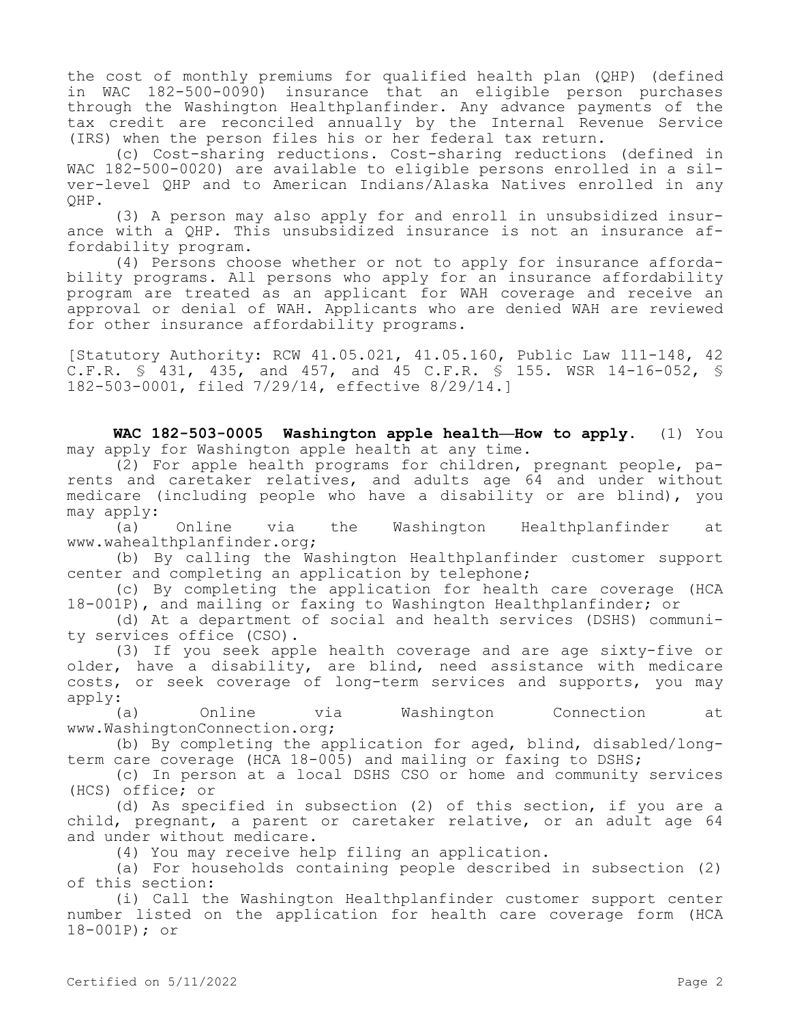the cost of monthly premiums for qualified health plan (QHP) (defined in WAC 182-500-0090) insurance that an eligible person purchases through the Washington Healthplanfinder. Any advance payments of the tax credit are reconciled annually by the Internal Revenue Service (IRS) when the person files his or her federal tax return.

(c) Cost-sharing reductions. Cost-sharing reductions (defined in WAC 182-500-0020) are available to eligible persons enrolled in a silver-level QHP and to American Indians/Alaska Natives enrolled in any QHP.

(3) A person may also apply for and enroll in unsubsidized insurance with a QHP. This unsubsidized insurance is not an insurance affordability program.

(4) Persons choose whether or not to apply for insurance affordability programs. All persons who apply for an insurance affordability program are treated as an applicant for WAH coverage and receive an approval or denial of WAH. Applicants who are denied WAH are reviewed for other insurance affordability programs.

[Statutory Authority: RCW 41.05.021, 41.05.160, Public Law 111-148, 42 C.F.R. § 431, 435, and 457, and 45 C.F.R. § 155. WSR 14-16-052, § 182-503-0001, filed 7/29/14, effective 8/29/14.]

**WAC 182-503-0005 Washington apple health—How to apply.** (1) You may apply for Washington apple health at any time.

(2) For apple health programs for children, pregnant people, parents and caretaker relatives, and adults age 64 and under without medicare (including people who have a disability or are blind), you may apply:

(a) Online via the Washington Healthplanfinder at www.wahealthplanfinder.org;

(b) By calling the Washington Healthplanfinder customer support center and completing an application by telephone;

(c) By completing the application for health care coverage (HCA 18-001P), and mailing or faxing to Washington Healthplanfinder; or

(d) At a department of social and health services (DSHS) community services office (CSO).

(3) If you seek apple health coverage and are age sixty-five or older, have a disability, are blind, need assistance with medicare costs, or seek coverage of long-term services and supports, you may apply:

(a) Online via Washington Connection at www.WashingtonConnection.org;

(b) By completing the application for aged, blind, disabled/longterm care coverage (HCA 18-005) and mailing or faxing to DSHS;

(c) In person at a local DSHS CSO or home and community services (HCS) office; or

(d) As specified in subsection (2) of this section, if you are a child, pregnant, a parent or caretaker relative, or an adult age 64 and under without medicare.

(4) You may receive help filing an application.

(a) For households containing people described in subsection (2) of this section:

(i) Call the Washington Healthplanfinder customer support center number listed on the application for health care coverage form (HCA 18-001P); or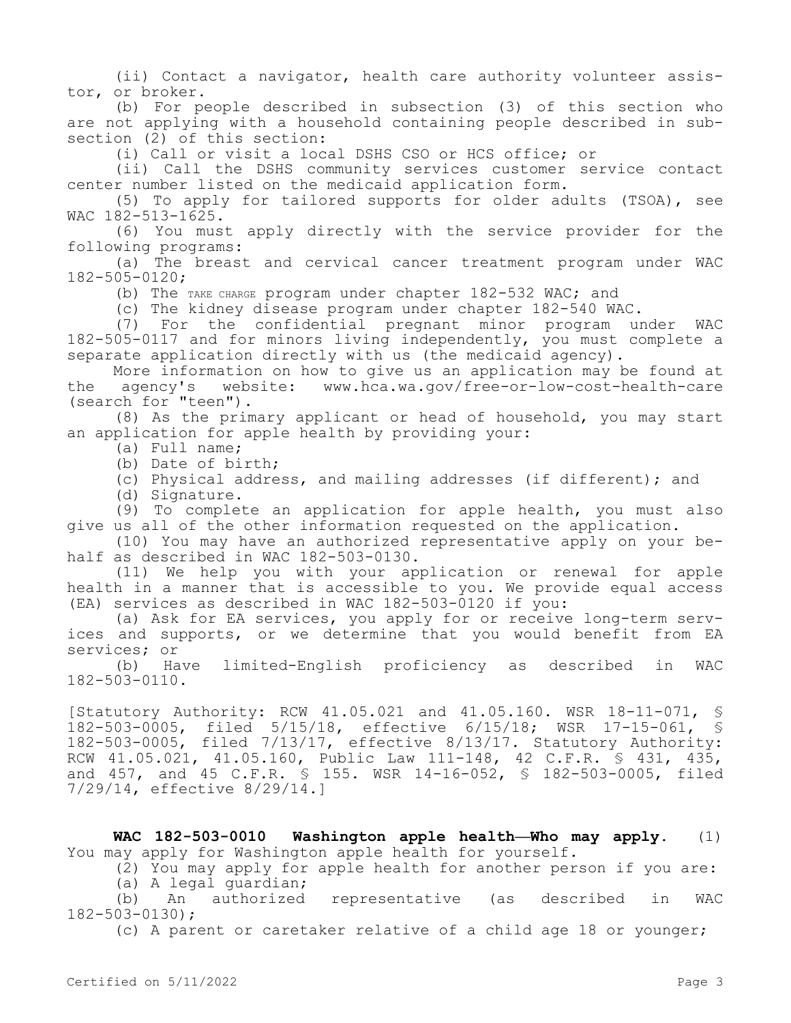(ii) Contact a navigator, health care authority volunteer assistor, or broker.

(b) For people described in subsection (3) of this section who are not applying with a household containing people described in subsection (2) of this section:

(i) Call or visit a local DSHS CSO or HCS office; or

(ii) Call the DSHS community services customer service contact center number listed on the medicaid application form.

(5) To apply for tailored supports for older adults (TSOA), see WAC 182-513-1625.

(6) You must apply directly with the service provider for the following programs:

(a) The breast and cervical cancer treatment program under WAC 182-505-0120;

(b) The TAKE CHARGE program under chapter 182-532 WAC; and

(c) The kidney disease program under chapter 182-540 WAC.

(7) For the confidential pregnant minor program under WAC 182-505-0117 and for minors living independently, you must complete a separate application directly with us (the medicaid agency).

More information on how to give us an application may be found at<br>agency's website: www.hca.wa.gov/free-or-low-cost-health-care the agency's website: www.hca.wa.gov/free-or-low-cost-health-care (search for "teen").

(8) As the primary applicant or head of household, you may start an application for apple health by providing your:

(a) Full name;

(b) Date of birth;

(c) Physical address, and mailing addresses (if different); and

(d) Signature.

(9) To complete an application for apple health, you must also give us all of the other information requested on the application.

(10) You may have an authorized representative apply on your behalf as described in WAC 182-503-0130.

(11) We help you with your application or renewal for apple health in a manner that is accessible to you. We provide equal access (EA) services as described in WAC 182-503-0120 if you:

(a) Ask for EA services, you apply for or receive long-term services and supports, or we determine that you would benefit from EA services; or

(b) Have limited-English proficiency as described in WAC 182-503-0110.

[Statutory Authority: RCW 41.05.021 and 41.05.160. WSR 18-11-071, § 182-503-0005, filed 5/15/18, effective 6/15/18; WSR 17-15-061, § 182-503-0005, filed 7/13/17, effective 8/13/17. Statutory Authority: RCW 41.05.021, 41.05.160, Public Law 111-148, 42 C.F.R. § 431, 435, and 457, and 45 C.F.R. § 155. WSR 14-16-052, § 182-503-0005, filed 7/29/14, effective 8/29/14.]

**WAC 182-503-0010 Washington apple health—Who may apply.** (1) You may apply for Washington apple health for yourself.

(2) You may apply for apple health for another person if you are:

(a) A legal guardian;

(b) An authorized representative (as described in WAC 182-503-0130);

(c) A parent or caretaker relative of a child age 18 or younger;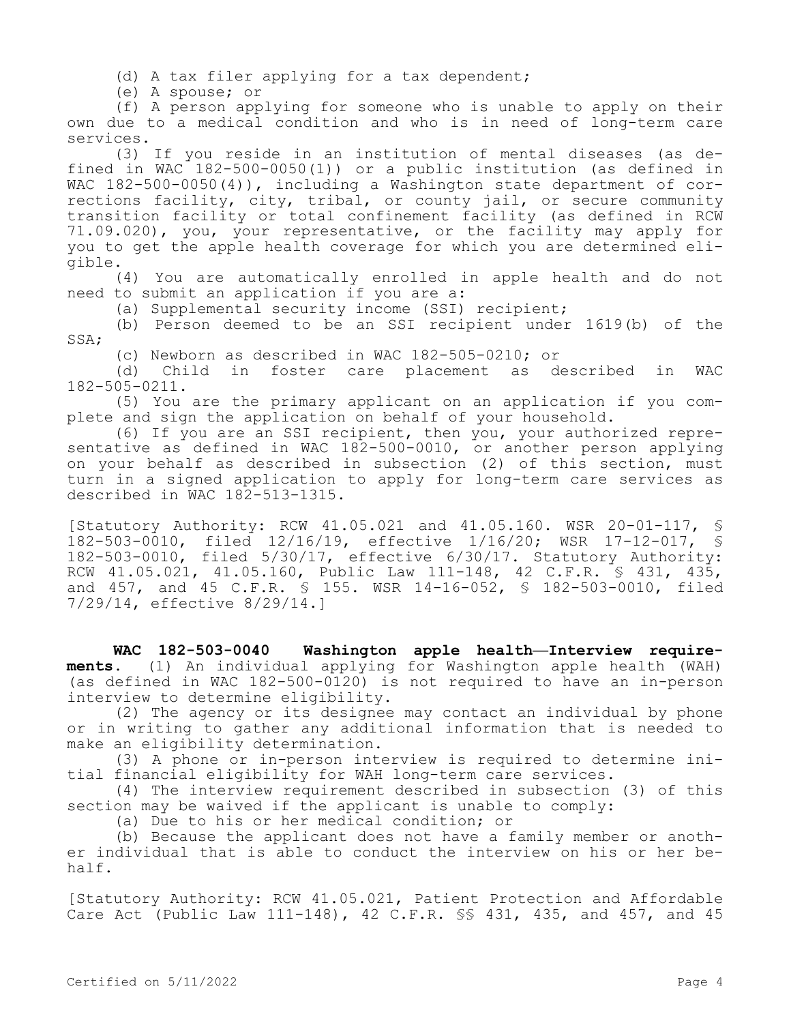(d) A tax filer applying for a tax dependent;

(e) A spouse; or

(f) A person applying for someone who is unable to apply on their own due to a medical condition and who is in need of long-term care services.

(3) If you reside in an institution of mental diseases (as defined in WAC 182-500-0050(1)) or a public institution (as defined in WAC 182-500-0050(4)), including a Washington state department of corrections facility, city, tribal, or county jail, or secure community transition facility or total confinement facility (as defined in RCW 71.09.020), you, your representative, or the facility may apply for you to get the apple health coverage for which you are determined eligible.

(4) You are automatically enrolled in apple health and do not need to submit an application if you are a:

(a) Supplemental security income (SSI) recipient;

(b) Person deemed to be an SSI recipient under 1619(b) of the SSA;

(c) Newborn as described in WAC 182-505-0210; or

(d) Child in foster care placement as described in WAC 182-505-0211.

(5) You are the primary applicant on an application if you complete and sign the application on behalf of your household.

(6) If you are an SSI recipient, then you, your authorized representative as defined in WAC 182-500-0010, or another person applying on your behalf as described in subsection (2) of this section, must turn in a signed application to apply for long-term care services as described in WAC 182-513-1315.

[Statutory Authority: RCW 41.05.021 and 41.05.160. WSR 20-01-117, § 182-503-0010, filed 12/16/19, effective 1/16/20; WSR 17-12-017, § 182-503-0010, filed 5/30/17, effective 6/30/17. Statutory Authority: RCW 41.05.021, 41.05.160, Public Law 111-148, 42 C.F.R. § 431, 435, and 457, and 45 C.F.R. § 155. WSR 14-16-052, § 182-503-0010, filed 7/29/14, effective 8/29/14.]

**WAC 182-503-0040 Washington apple health—Interview requirements.** (1) An individual applying for Washington apple health (WAH) (as defined in WAC 182-500-0120) is not required to have an in-person interview to determine eligibility.

(2) The agency or its designee may contact an individual by phone or in writing to gather any additional information that is needed to make an eligibility determination.

(3) A phone or in-person interview is required to determine initial financial eligibility for WAH long-term care services.

(4) The interview requirement described in subsection (3) of this section may be waived if the applicant is unable to comply:

(a) Due to his or her medical condition; or

(b) Because the applicant does not have a family member or another individual that is able to conduct the interview on his or her behalf.

[Statutory Authority: RCW 41.05.021, Patient Protection and Affordable Care Act (Public Law 111-148), 42 C.F.R. §§ 431, 435, and 457, and 45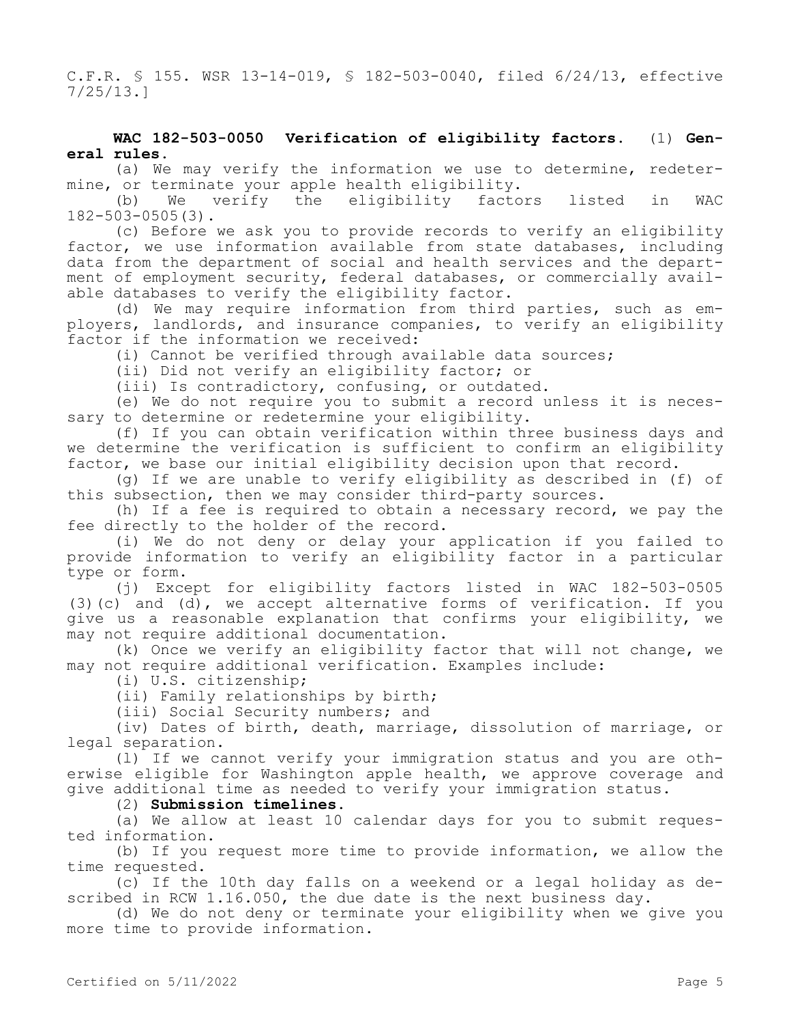C.F.R. § 155. WSR 13-14-019, § 182-503-0040, filed 6/24/13, effective 7/25/13.]

## **WAC 182-503-0050 Verification of eligibility factors.** (1) **General rules.**

(a) We may verify the information we use to determine, redetermine, or terminate your apple health eligibility.

(b) We verify the eligibility factors listed in WAC 182-503-0505(3).

(c) Before we ask you to provide records to verify an eligibility factor, we use information available from state databases, including data from the department of social and health services and the department of employment security, federal databases, or commercially available databases to verify the eligibility factor.

(d) We may require information from third parties, such as employers, landlords, and insurance companies, to verify an eligibility factor if the information we received:

(i) Cannot be verified through available data sources;

(ii) Did not verify an eligibility factor; or

(iii) Is contradictory, confusing, or outdated.

(e) We do not require you to submit a record unless it is necessary to determine or redetermine your eligibility.

(f) If you can obtain verification within three business days and we determine the verification is sufficient to confirm an eligibility factor, we base our initial eligibility decision upon that record.

(g) If we are unable to verify eligibility as described in (f) of this subsection, then we may consider third-party sources.

(h) If a fee is required to obtain a necessary record, we pay the fee directly to the holder of the record.

(i) We do not deny or delay your application if you failed to provide information to verify an eligibility factor in a particular type or form.

(j) Except for eligibility factors listed in WAC 182-503-0505 (3)(c) and (d), we accept alternative forms of verification. If you give us a reasonable explanation that confirms your eligibility, we may not require additional documentation.

(k) Once we verify an eligibility factor that will not change, we may not require additional verification. Examples include:

(i) U.S. citizenship;

(ii) Family relationships by birth;

(iii) Social Security numbers; and

(iv) Dates of birth, death, marriage, dissolution of marriage, or legal separation.

(l) If we cannot verify your immigration status and you are otherwise eligible for Washington apple health, we approve coverage and give additional time as needed to verify your immigration status.

#### (2) **Submission timelines.**

(a) We allow at least 10 calendar days for you to submit requested information.

(b) If you request more time to provide information, we allow the time requested.

(c) If the 10th day falls on a weekend or a legal holiday as described in RCW 1.16.050, the due date is the next business day.

(d) We do not deny or terminate your eligibility when we give you more time to provide information.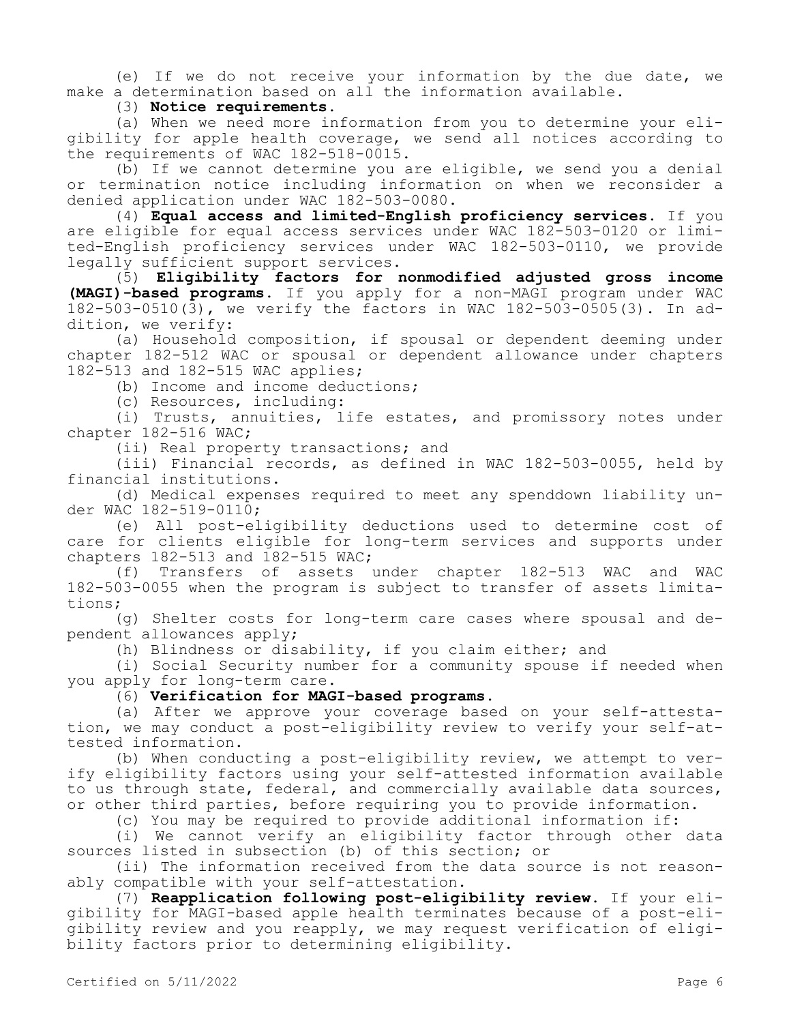(e) If we do not receive your information by the due date, we make a determination based on all the information available.

(3) **Notice requirements.**

(a) When we need more information from you to determine your eligibility for apple health coverage, we send all notices according to the requirements of WAC 182-518-0015.

(b) If we cannot determine you are eligible, we send you a denial or termination notice including information on when we reconsider a denied application under WAC 182-503-0080.

(4) **Equal access and limited-English proficiency services.** If you are eligible for equal access services under WAC 182-503-0120 or limited-English proficiency services under WAC 182-503-0110, we provide legally sufficient support services.

(5) **Eligibility factors for nonmodified adjusted gross income (MAGI)-based programs.** If you apply for a non-MAGI program under WAC 182-503-0510(3), we verify the factors in WAC 182-503-0505(3). In addition, we verify:

(a) Household composition, if spousal or dependent deeming under chapter 182-512 WAC or spousal or dependent allowance under chapters 182-513 and 182-515 WAC applies;

(b) Income and income deductions;

(c) Resources, including:

(i) Trusts, annuities, life estates, and promissory notes under chapter 182-516 WAC;

(ii) Real property transactions; and

(iii) Financial records, as defined in WAC 182-503-0055, held by financial institutions.

(d) Medical expenses required to meet any spenddown liability under WAC 182-519-0110;

(e) All post-eligibility deductions used to determine cost of care for clients eligible for long-term services and supports under chapters 182-513 and 182-515 WAC;

(f) Transfers of assets under chapter 182-513 WAC and WAC 182-503-0055 when the program is subject to transfer of assets limitations;

(g) Shelter costs for long-term care cases where spousal and dependent allowances apply;

(h) Blindness or disability, if you claim either; and

(i) Social Security number for a community spouse if needed when you apply for long-term care.

## (6) **Verification for MAGI-based programs.**

(a) After we approve your coverage based on your self-attestation, we may conduct a post-eligibility review to verify your self-attested information.

(b) When conducting a post-eligibility review, we attempt to verify eligibility factors using your self-attested information available to us through state, federal, and commercially available data sources, or other third parties, before requiring you to provide information.

(c) You may be required to provide additional information if:

(i) We cannot verify an eligibility factor through other data sources listed in subsection (b) of this section; or

(ii) The information received from the data source is not reasonably compatible with your self-attestation.

(7) **Reapplication following post-eligibility review.** If your eligibility for MAGI-based apple health terminates because of a post-eligibility review and you reapply, we may request verification of eligibility factors prior to determining eligibility.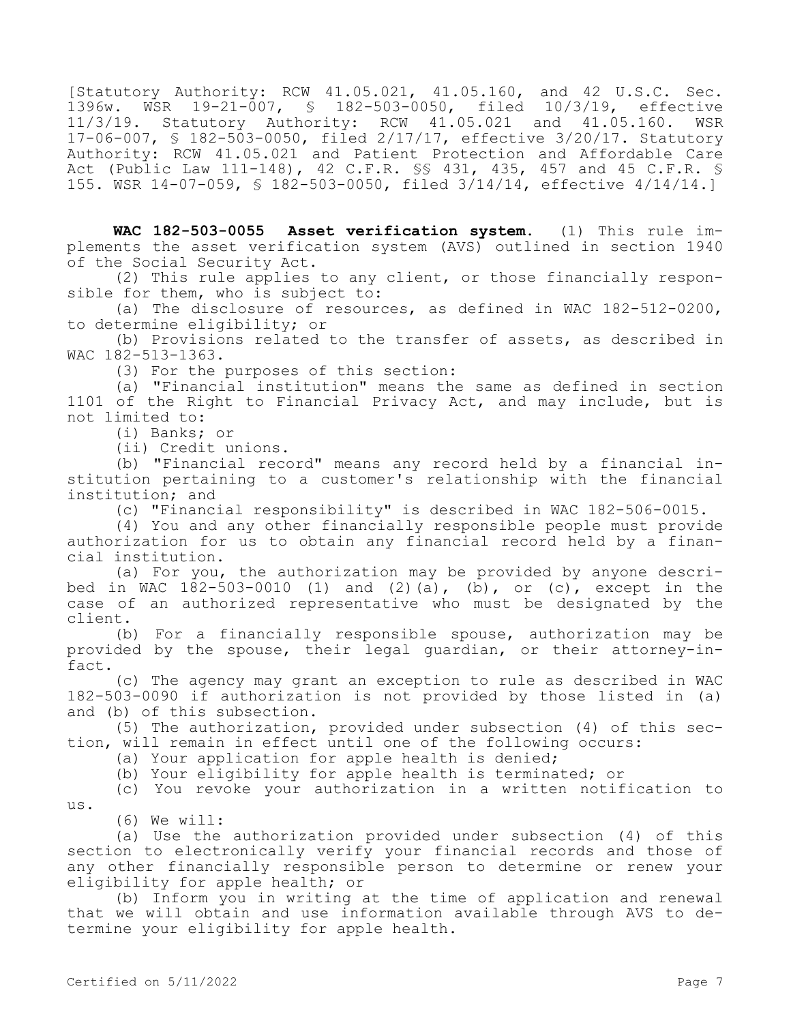[Statutory Authority: RCW 41.05.021, 41.05.160, and 42 U.S.C. Sec. 1396w. WSR 19-21-007, § 182-503-0050, filed 10/3/19, effective 11/3/19. Statutory Authority: RCW 41.05.021 and 41.05.160. WSR 17-06-007, § 182-503-0050, filed 2/17/17, effective 3/20/17. Statutory Authority: RCW 41.05.021 and Patient Protection and Affordable Care Act (Public Law 111-148), 42 C.F.R. §§ 431, 435, 457 and 45 C.F.R. § 155. WSR 14-07-059, § 182-503-0050, filed 3/14/14, effective 4/14/14.]

**WAC 182-503-0055 Asset verification system.** (1) This rule implements the asset verification system (AVS) outlined in section 1940 of the Social Security Act.

(2) This rule applies to any client, or those financially responsible for them, who is subject to:

(a) The disclosure of resources, as defined in WAC 182-512-0200, to determine eligibility; or

(b) Provisions related to the transfer of assets, as described in WAC 182-513-1363.

(3) For the purposes of this section:

(a) "Financial institution" means the same as defined in section 1101 of the Right to Financial Privacy Act, and may include, but is not limited to:

(i) Banks; or

(ii) Credit unions.

(b) "Financial record" means any record held by a financial institution pertaining to a customer's relationship with the financial institution; and

(c) "Financial responsibility" is described in WAC 182-506-0015.

(4) You and any other financially responsible people must provide authorization for us to obtain any financial record held by a financial institution.

(a) For you, the authorization may be provided by anyone described in WAC  $182-503-0010$  (1) and (2)(a), (b), or (c), except in the case of an authorized representative who must be designated by the client.

(b) For a financially responsible spouse, authorization may be provided by the spouse, their legal guardian, or their attorney-infact.

(c) The agency may grant an exception to rule as described in WAC 182-503-0090 if authorization is not provided by those listed in (a) and (b) of this subsection.

(5) The authorization, provided under subsection (4) of this section, will remain in effect until one of the following occurs:

(a) Your application for apple health is denied;

(b) Your eligibility for apple health is terminated; or

(c) You revoke your authorization in a written notification to us.

(6) We will:

(a) Use the authorization provided under subsection (4) of this section to electronically verify your financial records and those of any other financially responsible person to determine or renew your eligibility for apple health; or

(b) Inform you in writing at the time of application and renewal that we will obtain and use information available through AVS to determine your eligibility for apple health.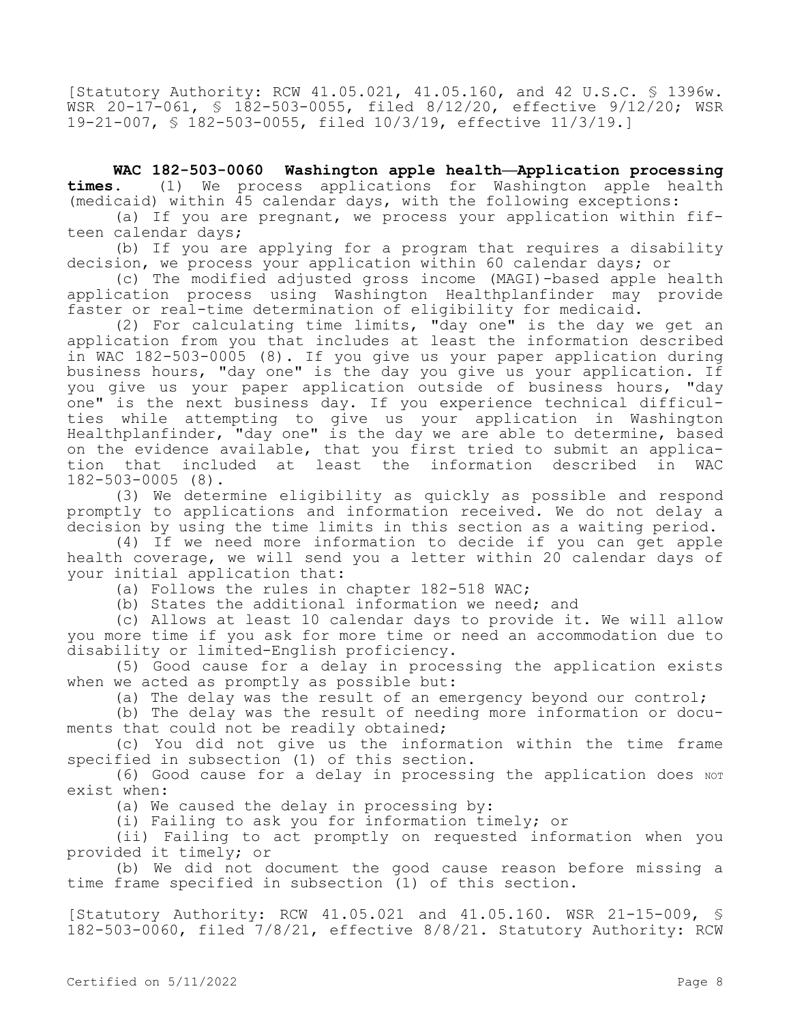[Statutory Authority: RCW 41.05.021, 41.05.160, and 42 U.S.C. § 1396w. WSR 20-17-061, § 182-503-0055, filed 8/12/20, effective 9/12/20; WSR 19-21-007, § 182-503-0055, filed 10/3/19, effective 11/3/19.]

**WAC 182-503-0060 Washington apple health—Application processing times.** (1) We process applications for Washington apple health (medicaid) within 45 calendar days, with the following exceptions:

(a) If you are pregnant, we process your application within fifteen calendar days;

(b) If you are applying for a program that requires a disability decision, we process your application within 60 calendar days; or

(c) The modified adjusted gross income (MAGI)-based apple health application process using Washington Healthplanfinder may provide faster or real-time determination of eligibility for medicaid.

(2) For calculating time limits, "day one" is the day we get an application from you that includes at least the information described in WAC 182-503-0005 (8). If you give us your paper application during business hours, "day one" is the day you give us your application. If you give us your paper application outside of business hours, "day one" is the next business day. If you experience technical difficulties while attempting to give us your application in Washington Healthplanfinder, "day one" is the day we are able to determine, based on the evidence available, that you first tried to submit an application that included at least the information described in WAC 182-503-0005 (8).

(3) We determine eligibility as quickly as possible and respond promptly to applications and information received. We do not delay a decision by using the time limits in this section as a waiting period.

(4) If we need more information to decide if you can get apple health coverage, we will send you a letter within 20 calendar days of your initial application that:

(a) Follows the rules in chapter 182-518 WAC;

(b) States the additional information we need; and

(c) Allows at least 10 calendar days to provide it. We will allow you more time if you ask for more time or need an accommodation due to disability or limited-English proficiency.

(5) Good cause for a delay in processing the application exists when we acted as promptly as possible but:

(a) The delay was the result of an emergency beyond our control;

(b) The delay was the result of needing more information or documents that could not be readily obtained;

(c) You did not give us the information within the time frame specified in subsection (1) of this section.

(6) Good cause for a delay in processing the application does NOT exist when:

(a) We caused the delay in processing by:

(i) Failing to ask you for information timely; or

(ii) Failing to act promptly on requested information when you provided it timely; or

(b) We did not document the good cause reason before missing a time frame specified in subsection (1) of this section.

[Statutory Authority: RCW 41.05.021 and 41.05.160. WSR 21-15-009, § 182-503-0060, filed 7/8/21, effective 8/8/21. Statutory Authority: RCW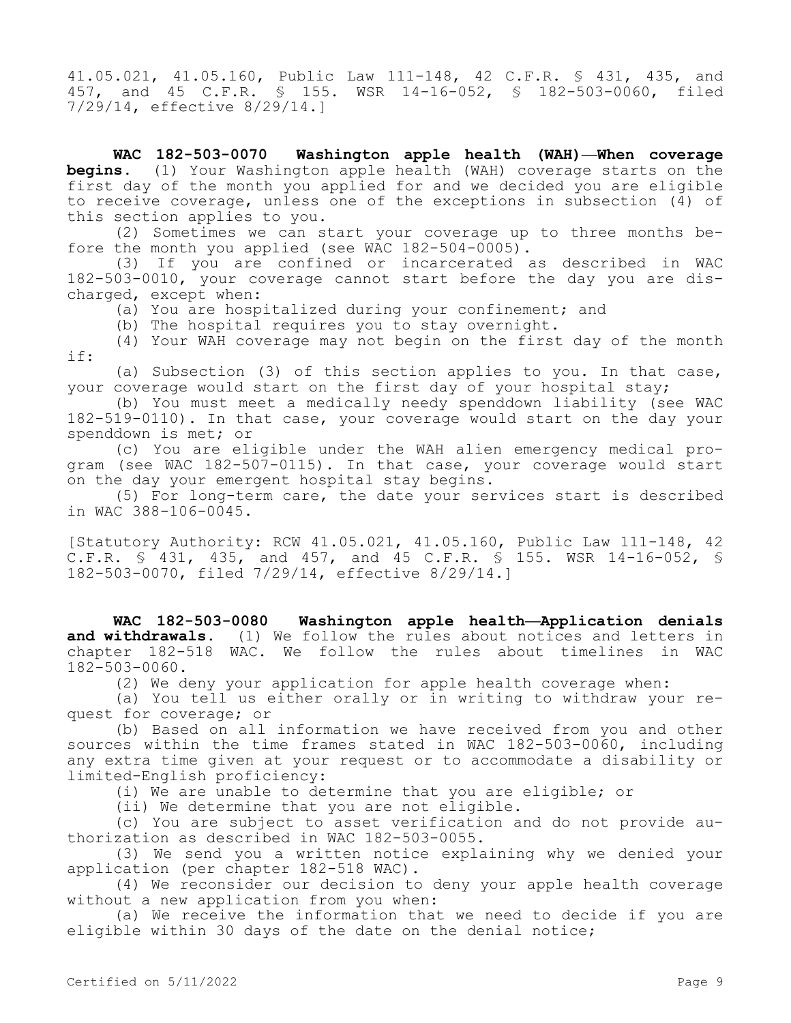41.05.021, 41.05.160, Public Law 111-148, 42 C.F.R. § 431, 435, and 457, and 45 C.F.R. § 155. WSR 14-16-052, § 182-503-0060, filed 7/29/14, effective 8/29/14.]

**WAC 182-503-0070 Washington apple health (WAH)—When coverage begins.** (1) Your Washington apple health (WAH) coverage starts on the first day of the month you applied for and we decided you are eligible to receive coverage, unless one of the exceptions in subsection (4) of this section applies to you.

(2) Sometimes we can start your coverage up to three months before the month you applied (see WAC 182-504-0005).

(3) If you are confined or incarcerated as described in WAC 182-503-0010, your coverage cannot start before the day you are discharged, except when:

(a) You are hospitalized during your confinement; and

(b) The hospital requires you to stay overnight.

(4) Your WAH coverage may not begin on the first day of the month if:

(a) Subsection (3) of this section applies to you. In that case, your coverage would start on the first day of your hospital stay;

(b) You must meet a medically needy spenddown liability (see WAC 182-519-0110). In that case, your coverage would start on the day your spenddown is met; or

(c) You are eligible under the WAH alien emergency medical program (see WAC 182-507-0115). In that case, your coverage would start on the day your emergent hospital stay begins.

(5) For long-term care, the date your services start is described in WAC 388-106-0045.

[Statutory Authority: RCW 41.05.021, 41.05.160, Public Law 111-148, 42 C.F.R. § 431, 435, and 457, and 45 C.F.R. § 155. WSR 14-16-052, § 182-503-0070, filed 7/29/14, effective 8/29/14.]

**WAC 182-503-0080 Washington apple health—Application denials and withdrawals.** (1) We follow the rules about notices and letters in chapter 182-518 WAC. We follow the rules about timelines in WAC 182-503-0060.

(2) We deny your application for apple health coverage when:

(a) You tell us either orally or in writing to withdraw your request for coverage; or

(b) Based on all information we have received from you and other sources within the time frames stated in WAC 182-503-0060, including any extra time given at your request or to accommodate a disability or limited-English proficiency:

(i) We are unable to determine that you are eligible; or

(ii) We determine that you are not eligible.

(c) You are subject to asset verification and do not provide authorization as described in WAC 182-503-0055.

(3) We send you a written notice explaining why we denied your application (per chapter 182-518 WAC).

(4) We reconsider our decision to deny your apple health coverage without a new application from you when:

(a) We receive the information that we need to decide if you are eligible within 30 days of the date on the denial notice;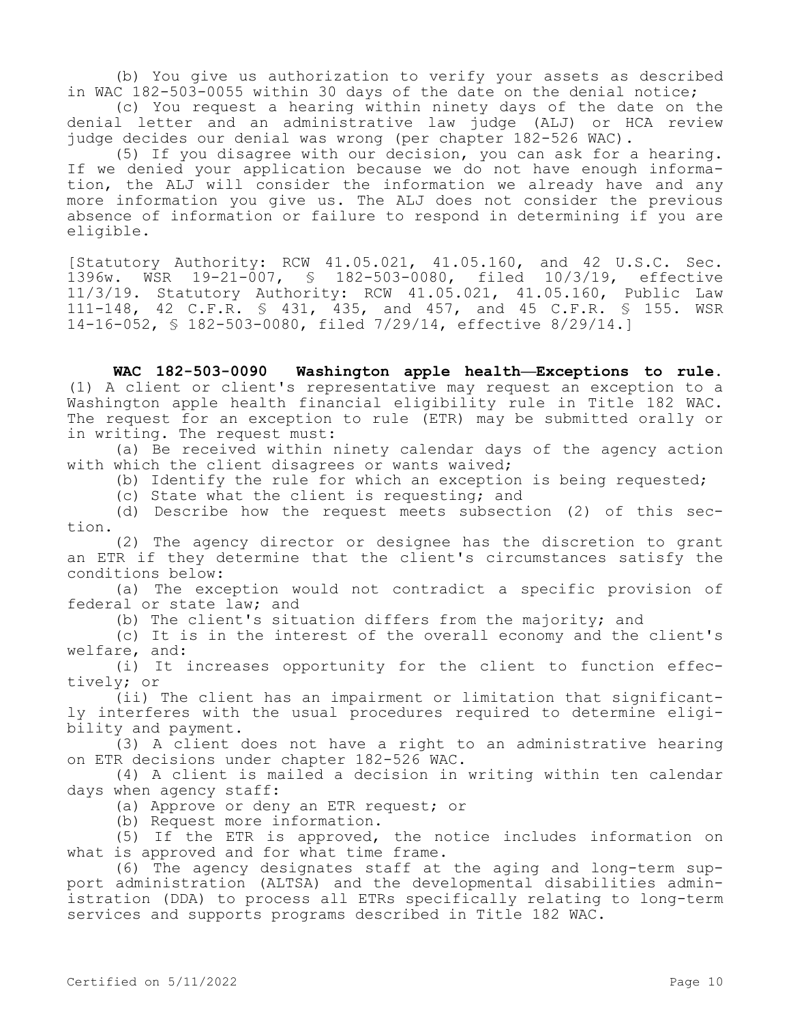(b) You give us authorization to verify your assets as described in WAC 182-503-0055 within 30 days of the date on the denial notice;

(c) You request a hearing within ninety days of the date on the denial letter and an administrative law judge (ALJ) or HCA review judge decides our denial was wrong (per chapter 182-526 WAC).

(5) If you disagree with our decision, you can ask for a hearing. If we denied your application because we do not have enough information, the ALJ will consider the information we already have and any more information you give us. The ALJ does not consider the previous absence of information or failure to respond in determining if you are eligible.

[Statutory Authority: RCW 41.05.021, 41.05.160, and 42 U.S.C. Sec. 1396w. WSR 19-21-007, § 182-503-0080, filed 10/3/19, effective 11/3/19. Statutory Authority: RCW 41.05.021, 41.05.160, Public Law 111-148, 42 C.F.R. § 431, 435, and 457, and 45 C.F.R. § 155. WSR 14-16-052, § 182-503-0080, filed 7/29/14, effective 8/29/14.]

**WAC 182-503-0090 Washington apple health—Exceptions to rule.**  (1) A client or client's representative may request an exception to a Washington apple health financial eligibility rule in Title 182 WAC. The request for an exception to rule (ETR) may be submitted orally or in writing. The request must:

(a) Be received within ninety calendar days of the agency action with which the client disagrees or wants waived;

(b) Identify the rule for which an exception is being requested;

(c) State what the client is requesting; and

(d) Describe how the request meets subsection (2) of this section.

(2) The agency director or designee has the discretion to grant an ETR if they determine that the client's circumstances satisfy the conditions below:

(a) The exception would not contradict a specific provision of federal or state law; and

(b) The client's situation differs from the majority; and

(c) It is in the interest of the overall economy and the client's welfare, and:

(i) It increases opportunity for the client to function effectively; or

(ii) The client has an impairment or limitation that significantly interferes with the usual procedures required to determine eligibility and payment.

(3) A client does not have a right to an administrative hearing on ETR decisions under chapter 182-526 WAC.

(4) A client is mailed a decision in writing within ten calendar days when agency staff:

(a) Approve or deny an ETR request; or

(b) Request more information.

(5) If the ETR is approved, the notice includes information on what is approved and for what time frame.

(6) The agency designates staff at the aging and long-term support administration (ALTSA) and the developmental disabilities administration (DDA) to process all ETRs specifically relating to long-term services and supports programs described in Title 182 WAC.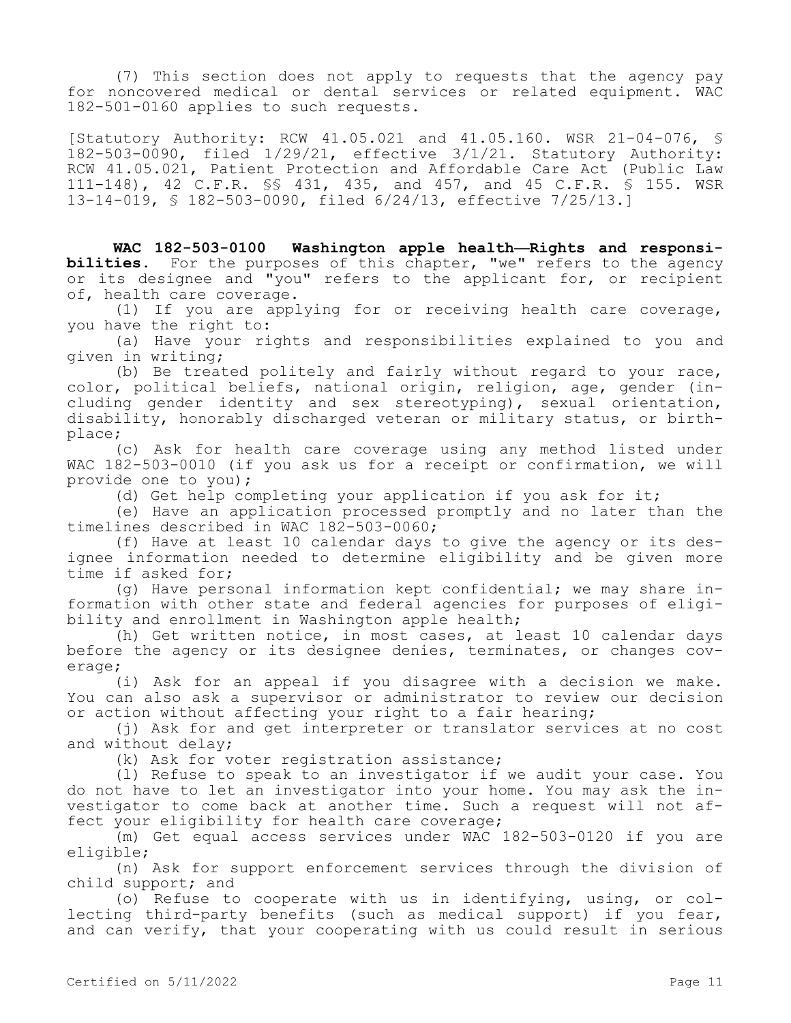(7) This section does not apply to requests that the agency pay for noncovered medical or dental services or related equipment. WAC 182-501-0160 applies to such requests.

[Statutory Authority: RCW 41.05.021 and 41.05.160. WSR 21-04-076, § 182-503-0090, filed 1/29/21, effective 3/1/21. Statutory Authority: RCW 41.05.021, Patient Protection and Affordable Care Act (Public Law 111-148), 42 C.F.R. §§ 431, 435, and 457, and 45 C.F.R. § 155. WSR 13-14-019, § 182-503-0090, filed 6/24/13, effective 7/25/13.]

**WAC 182-503-0100 Washington apple health—Rights and responsibilities.** For the purposes of this chapter, "we" refers to the agency or its designee and "you" refers to the applicant for, or recipient of, health care coverage.

(1) If you are applying for or receiving health care coverage, you have the right to:

(a) Have your rights and responsibilities explained to you and given in writing;

(b) Be treated politely and fairly without regard to your race, color, political beliefs, national origin, religion, age, gender (including gender identity and sex stereotyping), sexual orientation, disability, honorably discharged veteran or military status, or birthplace;

(c) Ask for health care coverage using any method listed under WAC 182-503-0010 (if you ask us for a receipt or confirmation, we will provide one to you);

(d) Get help completing your application if you ask for it;

(e) Have an application processed promptly and no later than the timelines described in WAC 182-503-0060;

(f) Have at least 10 calendar days to give the agency or its designee information needed to determine eligibility and be given more time if asked for;

(g) Have personal information kept confidential; we may share information with other state and federal agencies for purposes of eligibility and enrollment in Washington apple health;

(h) Get written notice, in most cases, at least 10 calendar days before the agency or its designee denies, terminates, or changes coverage;

(i) Ask for an appeal if you disagree with a decision we make. You can also ask a supervisor or administrator to review our decision or action without affecting your right to a fair hearing;

(j) Ask for and get interpreter or translator services at no cost and without delay;

(k) Ask for voter registration assistance;

(l) Refuse to speak to an investigator if we audit your case. You do not have to let an investigator into your home. You may ask the investigator to come back at another time. Such a request will not affect your eligibility for health care coverage;

(m) Get equal access services under WAC 182-503-0120 if you are eligible;

(n) Ask for support enforcement services through the division of child support; and

(o) Refuse to cooperate with us in identifying, using, or collecting third-party benefits (such as medical support) if you fear, and can verify, that your cooperating with us could result in serious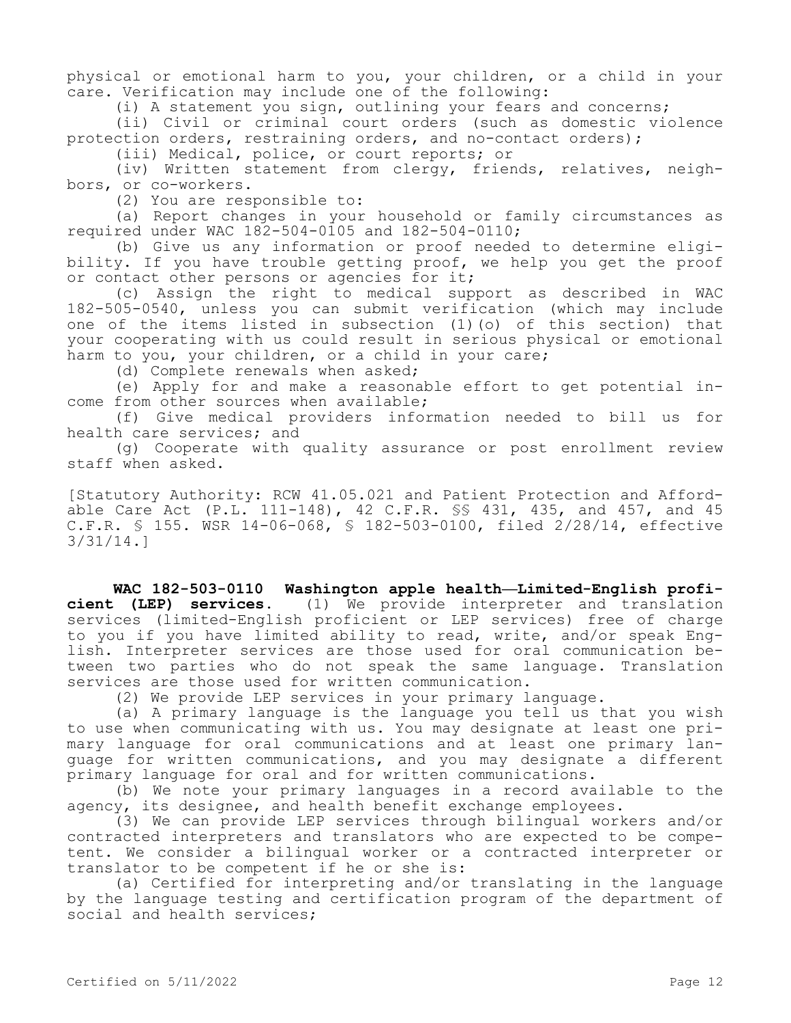physical or emotional harm to you, your children, or a child in your care. Verification may include one of the following:

(i) A statement you sign, outlining your fears and concerns;

(ii) Civil or criminal court orders (such as domestic violence protection orders, restraining orders, and no-contact orders);

(iii) Medical, police, or court reports; or

(iv) Written statement from clergy, friends, relatives, neighbors, or co-workers.

(2) You are responsible to:

(a) Report changes in your household or family circumstances as required under WAC 182-504-0105 and 182-504-0110;

(b) Give us any information or proof needed to determine eligibility. If you have trouble getting proof, we help you get the proof or contact other persons or agencies for it;

(c) Assign the right to medical support as described in WAC 182-505-0540, unless you can submit verification (which may include one of the items listed in subsection (1)(o) of this section) that your cooperating with us could result in serious physical or emotional harm to you, your children, or a child in your care;

(d) Complete renewals when asked;

(e) Apply for and make a reasonable effort to get potential income from other sources when available;

(f) Give medical providers information needed to bill us for health care services; and

(g) Cooperate with quality assurance or post enrollment review staff when asked.

[Statutory Authority: RCW 41.05.021 and Patient Protection and Affordable Care Act (P.L. 111-148), 42 C.F.R. §§ 431, 435, and 457, and 45 C.F.R. § 155. WSR 14-06-068, § 182-503-0100, filed 2/28/14, effective 3/31/14.]

**WAC 182-503-0110 Washington apple health—Limited-English proficient (LEP) services.** (1) We provide interpreter and translation services (limited-English proficient or LEP services) free of charge to you if you have limited ability to read, write, and/or speak English. Interpreter services are those used for oral communication between two parties who do not speak the same language. Translation services are those used for written communication.

(2) We provide LEP services in your primary language.

(a) A primary language is the language you tell us that you wish to use when communicating with us. You may designate at least one primary language for oral communications and at least one primary language for written communications, and you may designate a different primary language for oral and for written communications.

(b) We note your primary languages in a record available to the agency, its designee, and health benefit exchange employees.

(3) We can provide LEP services through bilingual workers and/or contracted interpreters and translators who are expected to be competent. We consider a bilingual worker or a contracted interpreter or translator to be competent if he or she is:

(a) Certified for interpreting and/or translating in the language by the language testing and certification program of the department of social and health services;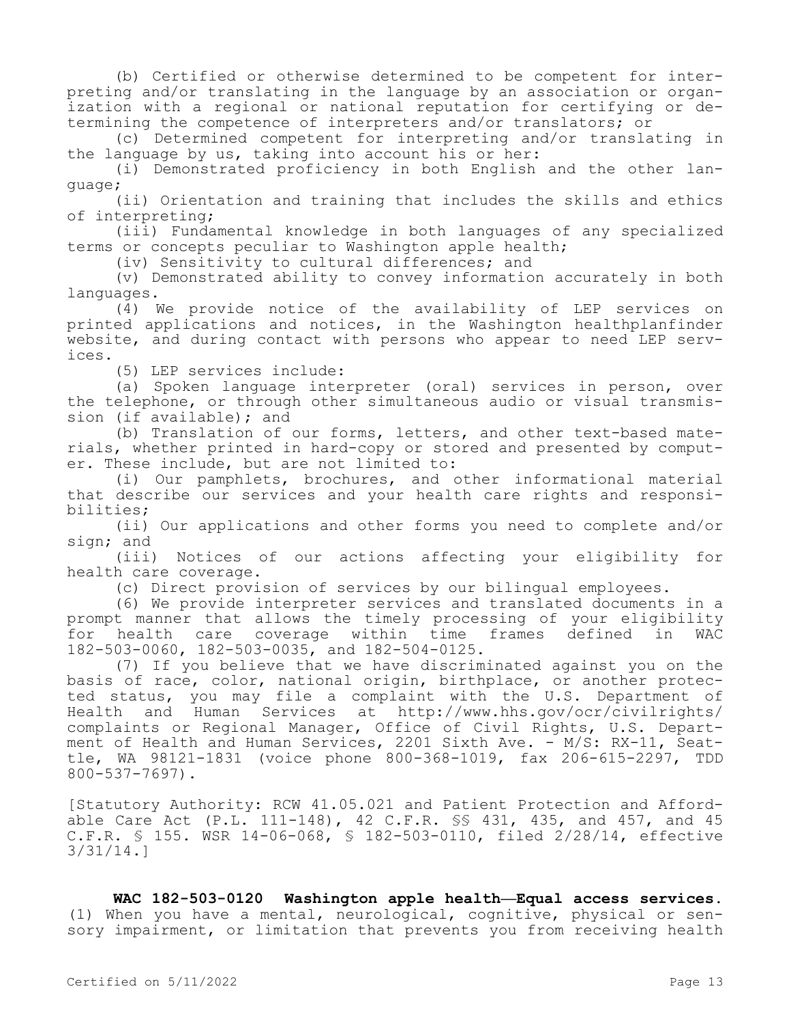(b) Certified or otherwise determined to be competent for interpreting and/or translating in the language by an association or organization with a regional or national reputation for certifying or determining the competence of interpreters and/or translators; or

(c) Determined competent for interpreting and/or translating in the language by us, taking into account his or her:

(i) Demonstrated proficiency in both English and the other language;

(ii) Orientation and training that includes the skills and ethics of interpreting;

(iii) Fundamental knowledge in both languages of any specialized terms or concepts peculiar to Washington apple health;

(iv) Sensitivity to cultural differences; and

(v) Demonstrated ability to convey information accurately in both languages.

(4) We provide notice of the availability of LEP services on printed applications and notices, in the Washington healthplanfinder website, and during contact with persons who appear to need LEP services.

(5) LEP services include:

(a) Spoken language interpreter (oral) services in person, over the telephone, or through other simultaneous audio or visual transmission (if available); and

(b) Translation of our forms, letters, and other text-based materials, whether printed in hard-copy or stored and presented by computer. These include, but are not limited to:

(i) Our pamphlets, brochures, and other informational material that describe our services and your health care rights and responsibilities;

(ii) Our applications and other forms you need to complete and/or sign; and

(iii) Notices of our actions affecting your eligibility for health care coverage.

(c) Direct provision of services by our bilingual employees.

(6) We provide interpreter services and translated documents in a prompt manner that allows the timely processing of your eligibility for health care coverage within time frames defined in WAC 182-503-0060, 182-503-0035, and 182-504-0125.

(7) If you believe that we have discriminated against you on the basis of race, color, national origin, birthplace, or another protected status, you may file a complaint with the U.S. Department of Health and Human Services at http://www.hhs.gov/ocr/civilrights/ complaints or Regional Manager, Office of Civil Rights, U.S. Department of Health and Human Services, 2201 Sixth Ave. - M/S: RX-11, Seattle, WA 98121-1831 (voice phone 800-368-1019, fax 206-615-2297, TDD 800-537-7697).

[Statutory Authority: RCW 41.05.021 and Patient Protection and Affordable Care Act (P.L. 111-148), 42 C.F.R. §§ 431, 435, and 457, and 45 C.F.R. § 155. WSR 14-06-068, § 182-503-0110, filed 2/28/14, effective 3/31/14.]

**WAC 182-503-0120 Washington apple health—Equal access services.**  (1) When you have a mental, neurological, cognitive, physical or sensory impairment, or limitation that prevents you from receiving health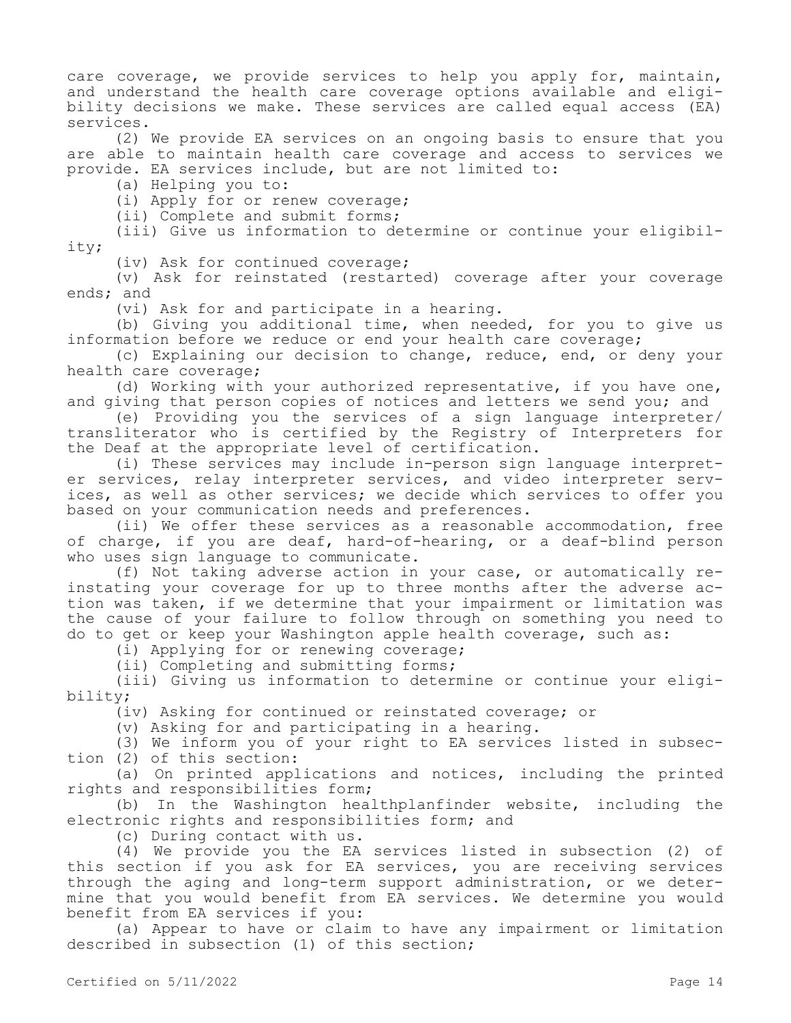care coverage, we provide services to help you apply for, maintain, and understand the health care coverage options available and eligibility decisions we make. These services are called equal access (EA) services.

(2) We provide EA services on an ongoing basis to ensure that you are able to maintain health care coverage and access to services we provide. EA services include, but are not limited to:

(a) Helping you to:

(i) Apply for or renew coverage;

(ii) Complete and submit forms;

(iii) Give us information to determine or continue your eligibility;

(iv) Ask for continued coverage;

(v) Ask for reinstated (restarted) coverage after your coverage ends; and

(vi) Ask for and participate in a hearing.

(b) Giving you additional time, when needed, for you to give us information before we reduce or end your health care coverage;

(c) Explaining our decision to change, reduce, end, or deny your health care coverage;

(d) Working with your authorized representative, if you have one, and giving that person copies of notices and letters we send you; and

(e) Providing you the services of a sign language interpreter/ transliterator who is certified by the Registry of Interpreters for the Deaf at the appropriate level of certification.

(i) These services may include in-person sign language interpreter services, relay interpreter services, and video interpreter services, as well as other services; we decide which services to offer you based on your communication needs and preferences.

(ii) We offer these services as a reasonable accommodation, free of charge, if you are deaf, hard-of-hearing, or a deaf-blind person who uses sign language to communicate.

(f) Not taking adverse action in your case, or automatically reinstating your coverage for up to three months after the adverse action was taken, if we determine that your impairment or limitation was the cause of your failure to follow through on something you need to do to get or keep your Washington apple health coverage, such as:

(i) Applying for or renewing coverage;

(ii) Completing and submitting forms;

(iii) Giving us information to determine or continue your eligibility;

(iv) Asking for continued or reinstated coverage; or

(v) Asking for and participating in a hearing.

(3) We inform you of your right to EA services listed in subsection (2) of this section:

(a) On printed applications and notices, including the printed rights and responsibilities form;

(b) In the Washington healthplanfinder website, including the electronic rights and responsibilities form; and

(c) During contact with us.

(4) We provide you the EA services listed in subsection (2) of this section if you ask for EA services, you are receiving services through the aging and long-term support administration, or we determine that you would benefit from EA services. We determine you would benefit from EA services if you:

(a) Appear to have or claim to have any impairment or limitation described in subsection (1) of this section;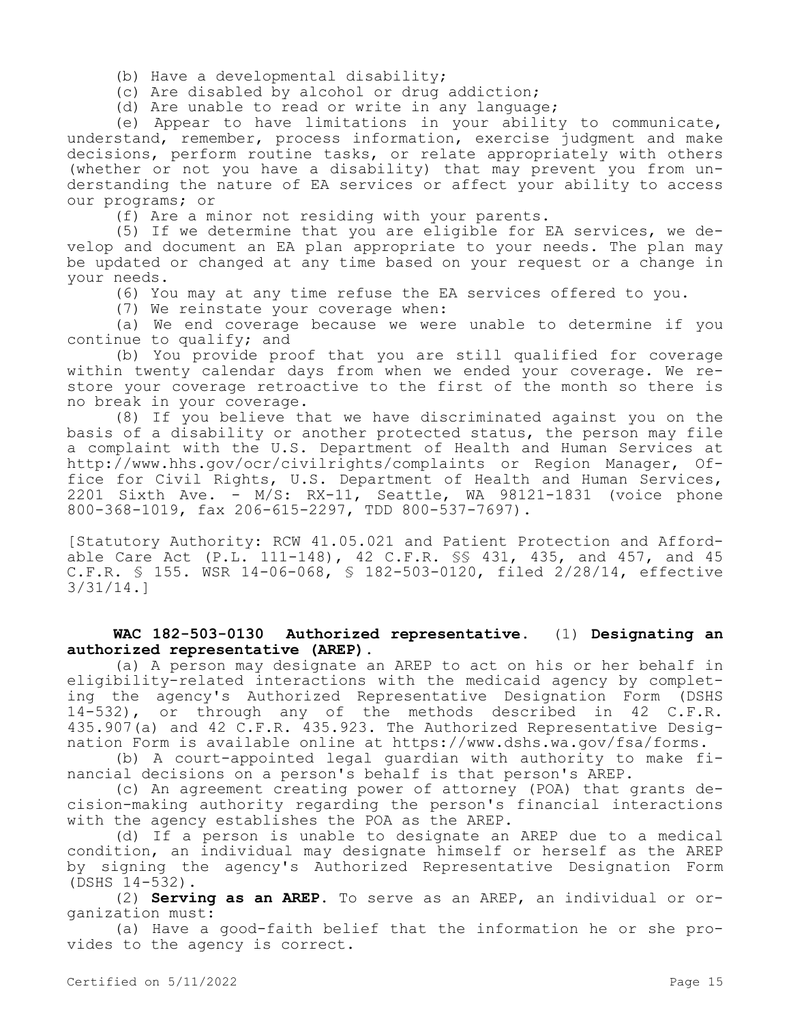(b) Have a developmental disability;

(c) Are disabled by alcohol or drug addiction;

(d) Are unable to read or write in any language;

(e) Appear to have limitations in your ability to communicate, understand, remember, process information, exercise judgment and make decisions, perform routine tasks, or relate appropriately with others (whether or not you have a disability) that may prevent you from understanding the nature of EA services or affect your ability to access our programs; or

(f) Are a minor not residing with your parents.

(5) If we determine that you are eligible for EA services, we develop and document an EA plan appropriate to your needs. The plan may be updated or changed at any time based on your request or a change in your needs.

(6) You may at any time refuse the EA services offered to you.

(7) We reinstate your coverage when:

(a) We end coverage because we were unable to determine if you continue to qualify; and

(b) You provide proof that you are still qualified for coverage within twenty calendar days from when we ended your coverage. We restore your coverage retroactive to the first of the month so there is no break in your coverage.

(8) If you believe that we have discriminated against you on the basis of a disability or another protected status, the person may file a complaint with the U.S. Department of Health and Human Services at http://www.hhs.gov/ocr/civilrights/complaints or Region Manager, Office for Civil Rights, U.S. Department of Health and Human Services, 2201 Sixth Ave. - M/S: RX-11, Seattle, WA 98121-1831 (voice phone 800-368-1019, fax 206-615-2297, TDD 800-537-7697).

[Statutory Authority: RCW 41.05.021 and Patient Protection and Affordable Care Act (P.L. 111-148), 42 C.F.R. §§ 431, 435, and 457, and 45 C.F.R. § 155. WSR 14-06-068, § 182-503-0120, filed 2/28/14, effective 3/31/14.]

## **WAC 182-503-0130 Authorized representative.** (1) **Designating an authorized representative (AREP).**

(a) A person may designate an AREP to act on his or her behalf in eligibility-related interactions with the medicaid agency by completing the agency's Authorized Representative Designation Form (DSHS 14-532), or through any of the methods described in 42 C.F.R. 435.907(a) and 42 C.F.R. 435.923. The Authorized Representative Designation Form is available online at https://www.dshs.wa.gov/fsa/forms.

(b) A court-appointed legal guardian with authority to make financial decisions on a person's behalf is that person's AREP.

(c) An agreement creating power of attorney (POA) that grants decision-making authority regarding the person's financial interactions with the agency establishes the POA as the AREP.

(d) If a person is unable to designate an AREP due to a medical condition, an individual may designate himself or herself as the AREP by signing the agency's Authorized Representative Designation Form (DSHS 14-532).

(2) **Serving as an AREP.** To serve as an AREP, an individual or organization must:

(a) Have a good-faith belief that the information he or she provides to the agency is correct.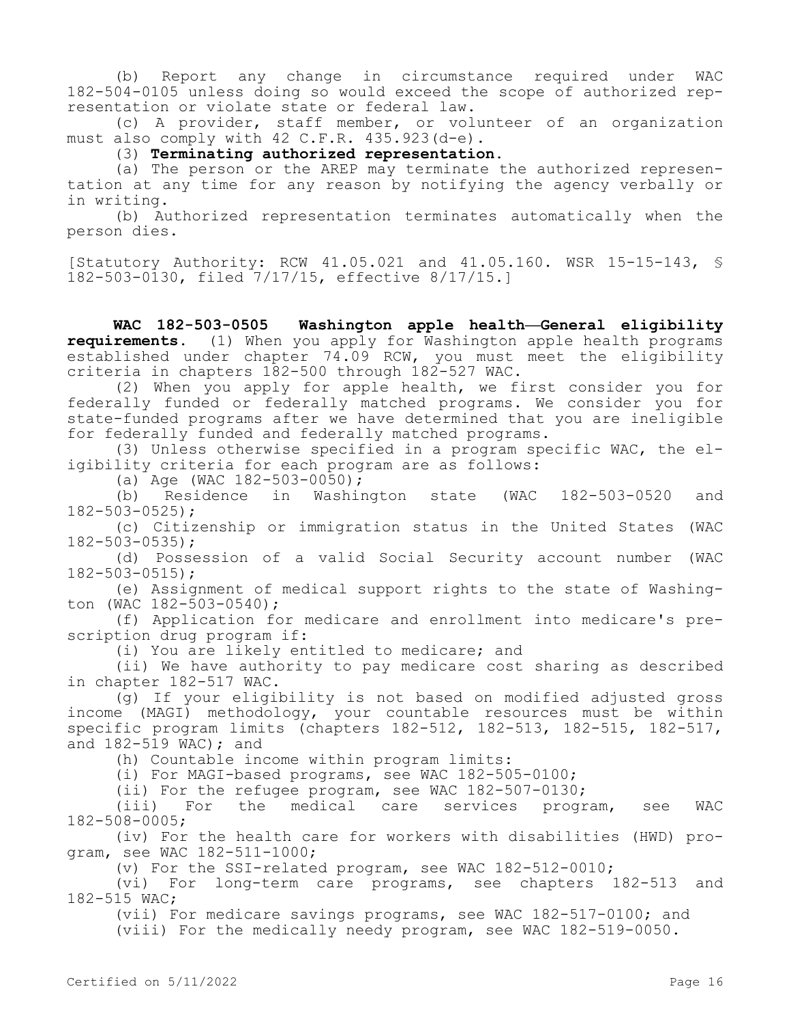(b) Report any change in circumstance required under WAC 182-504-0105 unless doing so would exceed the scope of authorized representation or violate state or federal law.

(c) A provider, staff member, or volunteer of an organization must also comply with 42 C.F.R. 435.923(d-e).

(3) **Terminating authorized representation.**

(a) The person or the AREP may terminate the authorized representation at any time for any reason by notifying the agency verbally or in writing.

(b) Authorized representation terminates automatically when the person dies.

[Statutory Authority: RCW 41.05.021 and 41.05.160. WSR 15-15-143, § 182-503-0130, filed 7/17/15, effective 8/17/15.]

**WAC 182-503-0505 Washington apple health—General eligibility requirements.** (1) When you apply for Washington apple health programs established under chapter 74.09 RCW, you must meet the eligibility criteria in chapters 182-500 through 182-527 WAC.

(2) When you apply for apple health, we first consider you for federally funded or federally matched programs. We consider you for state-funded programs after we have determined that you are ineligible for federally funded and federally matched programs.

(3) Unless otherwise specified in a program specific WAC, the eligibility criteria for each program are as follows:

(a) Age (WAC 182-503-0050);

(b) Residence in Washington state (WAC 182-503-0520 and 182-503-0525);

(c) Citizenship or immigration status in the United States (WAC 182-503-0535);

(d) Possession of a valid Social Security account number (WAC 182-503-0515);

(e) Assignment of medical support rights to the state of Washington (WAC 182-503-0540);

(f) Application for medicare and enrollment into medicare's prescription drug program if:

(i) You are likely entitled to medicare; and

(ii) We have authority to pay medicare cost sharing as described in chapter 182-517 WAC.

(g) If your eligibility is not based on modified adjusted gross income (MAGI) methodology, your countable resources must be within specific program limits (chapters 182-512, 182-513, 182-515, 182-517, and 182-519 WAC); and

(h) Countable income within program limits:

(i) For MAGI-based programs, see WAC 182-505-0100;

(ii) For the refugee program, see WAC 182-507-0130;

(iii) For the medical care services program, see WAC 182-508-0005;

(iv) For the health care for workers with disabilities (HWD) program, see WAC 182-511-1000;

(v) For the SSI-related program, see WAC 182-512-0010;

(vi) For long-term care programs, see chapters 182-513 and 182-515 WAC;

(vii) For medicare savings programs, see WAC 182-517-0100; and

(viii) For the medically needy program, see WAC 182-519-0050.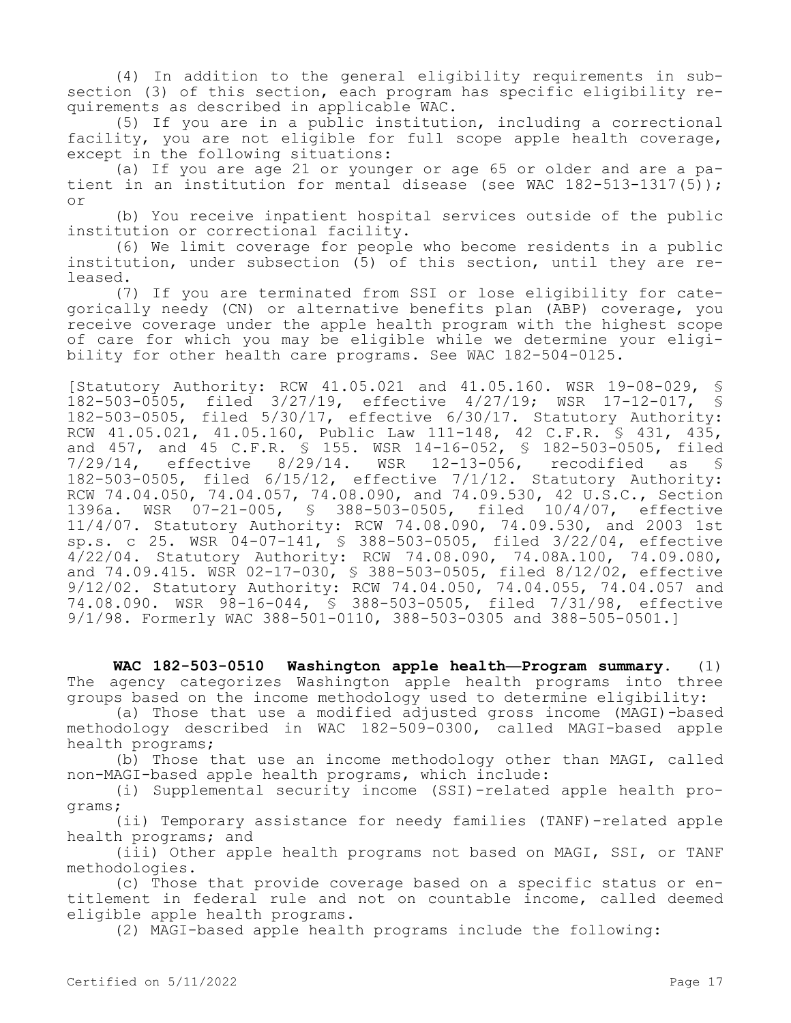(4) In addition to the general eligibility requirements in subsection (3) of this section, each program has specific eligibility requirements as described in applicable WAC.

(5) If you are in a public institution, including a correctional facility, you are not eligible for full scope apple health coverage, except in the following situations:

(a) If you are age 21 or younger or age 65 or older and are a patient in an institution for mental disease (see WAC 182-513-1317(5)); or

(b) You receive inpatient hospital services outside of the public institution or correctional facility.

(6) We limit coverage for people who become residents in a public institution, under subsection (5) of this section, until they are released.

(7) If you are terminated from SSI or lose eligibility for categorically needy (CN) or alternative benefits plan (ABP) coverage, you receive coverage under the apple health program with the highest scope of care for which you may be eligible while we determine your eligibility for other health care programs. See WAC 182-504-0125.

[Statutory Authority: RCW 41.05.021 and 41.05.160. WSR 19-08-029, § 182-503-0505, filed 3/27/19, effective 4/27/19; WSR 17-12-017, § 182-503-0505, filed 5/30/17, effective 6/30/17. Statutory Authority: RCW 41.05.021, 41.05.160, Public Law 111-148, 42 C.F.R. § 431, 435, and 457, and 45 C.F.R. § 155. WSR 14-16-052, § 182-503-0505, filed 7/29/14, effective 8/29/14. WSR 12-13-056, recodified as § 182-503-0505, filed 6/15/12, effective 7/1/12. Statutory Authority: RCW 74.04.050, 74.04.057, 74.08.090, and 74.09.530, 42 U.S.C., Section 1396a. WSR 07-21-005, § 388-503-0505, filed 10/4/07, effective 11/4/07. Statutory Authority: RCW 74.08.090, 74.09.530, and 2003 1st sp.s. c 25. WSR 04-07-141, § 388-503-0505, filed 3/22/04, effective 4/22/04. Statutory Authority: RCW 74.08.090, 74.08A.100, 74.09.080, and 74.09.415. WSR 02-17-030, § 388-503-0505, filed 8/12/02, effective 9/12/02. Statutory Authority: RCW 74.04.050, 74.04.055, 74.04.057 and 74.08.090. WSR 98-16-044, § 388-503-0505, filed 7/31/98, effective 9/1/98. Formerly WAC 388-501-0110, 388-503-0305 and 388-505-0501.]

**WAC 182-503-0510 Washington apple health—Program summary.** (1) The agency categorizes Washington apple health programs into three groups based on the income methodology used to determine eligibility:

(a) Those that use a modified adjusted gross income (MAGI)-based methodology described in WAC 182-509-0300, called MAGI-based apple health programs;

(b) Those that use an income methodology other than MAGI, called non-MAGI-based apple health programs, which include:

(i) Supplemental security income (SSI)-related apple health programs;

(ii) Temporary assistance for needy families (TANF)-related apple health programs; and

(iii) Other apple health programs not based on MAGI, SSI, or TANF methodologies.

(c) Those that provide coverage based on a specific status or entitlement in federal rule and not on countable income, called deemed eligible apple health programs.

(2) MAGI-based apple health programs include the following: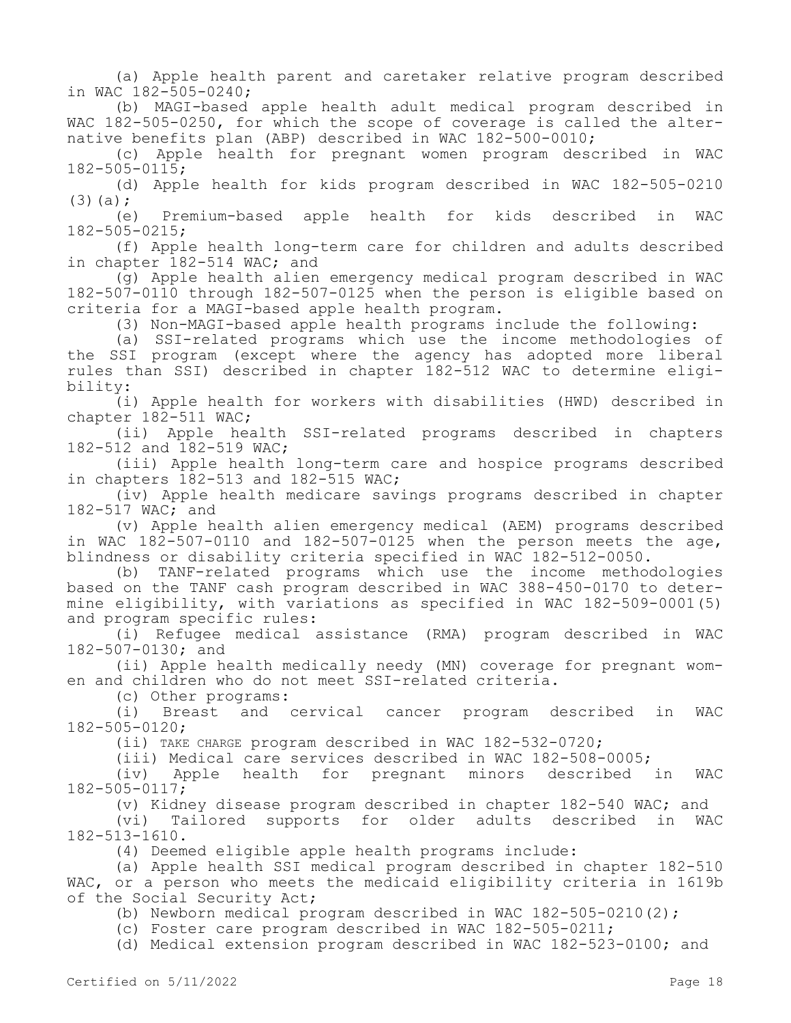(a) Apple health parent and caretaker relative program described in WAC 182-505-0240;

(b) MAGI-based apple health adult medical program described in WAC 182-505-0250, for which the scope of coverage is called the alternative benefits plan (ABP) described in WAC 182-500-0010;

(c) Apple health for pregnant women program described in WAC 182-505-0115;

(d) Apple health for kids program described in WAC 182-505-0210  $(3)(a)$ ;

(e) Premium-based apple health for kids described in WAC 182-505-0215;

(f) Apple health long-term care for children and adults described in chapter 182-514 WAC; and

(g) Apple health alien emergency medical program described in WAC 182-507-0110 through 182-507-0125 when the person is eligible based on criteria for a MAGI-based apple health program.

(3) Non-MAGI-based apple health programs include the following:

(a) SSI-related programs which use the income methodologies of the SSI program (except where the agency has adopted more liberal rules than SSI) described in chapter 182-512 WAC to determine eligibility:

(i) Apple health for workers with disabilities (HWD) described in chapter 182-511 WAC;

(ii) Apple health SSI-related programs described in chapters 182-512 and 182-519 WAC;

(iii) Apple health long-term care and hospice programs described in chapters 182-513 and 182-515 WAC;

(iv) Apple health medicare savings programs described in chapter 182-517 WAC; and

(v) Apple health alien emergency medical (AEM) programs described in WAC  $182-507-0110$  and  $182-507-0125$  when the person meets the age, blindness or disability criteria specified in WAC 182-512-0050.

(b) TANF-related programs which use the income methodologies based on the TANF cash program described in WAC 388-450-0170 to determine eligibility, with variations as specified in WAC 182-509-0001(5) and program specific rules:

(i) Refugee medical assistance (RMA) program described in WAC 182-507-0130; and

(ii) Apple health medically needy (MN) coverage for pregnant women and children who do not meet SSI-related criteria.

(c) Other programs:

(i) Breast and cervical cancer program described in WAC 182-505-0120;

(ii) TAKE CHARGE program described in WAC 182-532-0720;

(iii) Medical care services described in WAC 182-508-0005;

(iv) Apple health for pregnant minors described in WAC 182-505-0117;

(v) Kidney disease program described in chapter 182-540 WAC; and

(vi) Tailored supports for older adults described in WAC 182-513-1610.

(4) Deemed eligible apple health programs include:

(a) Apple health SSI medical program described in chapter 182-510 WAC, or a person who meets the medicaid eligibility criteria in 1619b of the Social Security Act;

(b) Newborn medical program described in WAC 182-505-0210(2);

(c) Foster care program described in WAC 182-505-0211;

(d) Medical extension program described in WAC 182-523-0100; and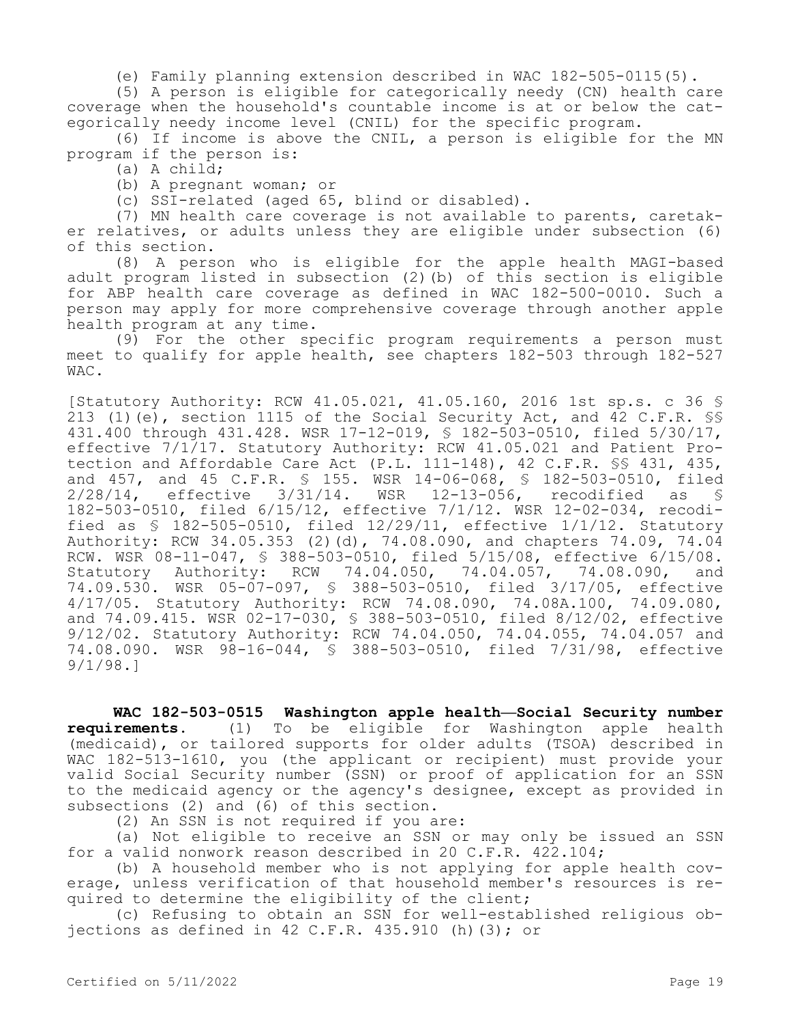(e) Family planning extension described in WAC 182-505-0115(5).

(5) A person is eligible for categorically needy (CN) health care coverage when the household's countable income is at or below the categorically needy income level (CNIL) for the specific program.

(6) If income is above the CNIL, a person is eligible for the MN program if the person is:

(a) A child;

(b) A pregnant woman; or

(c) SSI-related (aged 65, blind or disabled).

(7) MN health care coverage is not available to parents, caretaker relatives, or adults unless they are eligible under subsection (6) of this section.

(8) A person who is eligible for the apple health MAGI-based adult program listed in subsection (2)(b) of this section is eligible for ABP health care coverage as defined in WAC 182-500-0010. Such a person may apply for more comprehensive coverage through another apple health program at any time.

(9) For the other specific program requirements a person must meet to qualify for apple health, see chapters 182-503 through 182-527 WAC.

[Statutory Authority: RCW 41.05.021, 41.05.160, 2016 1st sp.s. c 36 § 213 (1)(e), section 1115 of the Social Security Act, and 42 C.F.R. §§ 431.400 through 431.428. WSR 17-12-019, § 182-503-0510, filed 5/30/17, effective 7/1/17. Statutory Authority: RCW 41.05.021 and Patient Protection and Affordable Care Act (P.L. 111-148), 42 C.F.R. §§ 431, 435, and 457, and 45 C.F.R. § 155. WSR 14-06-068, § 182-503-0510, filed 2/28/14, effective 3/31/14. WSR 12-13-056, recodified as § 182-503-0510, filed 6/15/12, effective 7/1/12. WSR 12-02-034, recodified as § 182-505-0510, filed 12/29/11, effective 1/1/12. Statutory Authority: RCW 34.05.353 (2)(d), 74.08.090, and chapters 74.09, 74.04 RCW. WSR 08-11-047, § 388-503-0510, filed 5/15/08, effective 6/15/08. Statutory Authority: RCW 74.04.050, 74.04.057, 74.08.090, and 74.09.530. WSR 05-07-097, § 388-503-0510, filed 3/17/05, effective 4/17/05. Statutory Authority: RCW 74.08.090, 74.08A.100, 74.09.080, and 74.09.415. WSR 02-17-030, § 388-503-0510, filed 8/12/02, effective 9/12/02. Statutory Authority: RCW 74.04.050, 74.04.055, 74.04.057 and 74.08.090. WSR 98-16-044, § 388-503-0510, filed 7/31/98, effective 9/1/98.]

**WAC 182-503-0515 Washington apple health—Social Security number requirements.** (1) To be eligible for Washington apple health (medicaid), or tailored supports for older adults (TSOA) described in WAC 182-513-1610, you (the applicant or recipient) must provide your valid Social Security number (SSN) or proof of application for an SSN to the medicaid agency or the agency's designee, except as provided in subsections (2) and (6) of this section.

(2) An SSN is not required if you are:

(a) Not eligible to receive an SSN or may only be issued an SSN for a valid nonwork reason described in 20 C.F.R. 422.104;

(b) A household member who is not applying for apple health coverage, unless verification of that household member's resources is required to determine the eligibility of the client;

(c) Refusing to obtain an SSN for well-established religious objections as defined in 42 C.F.R. 435.910 (h) (3); or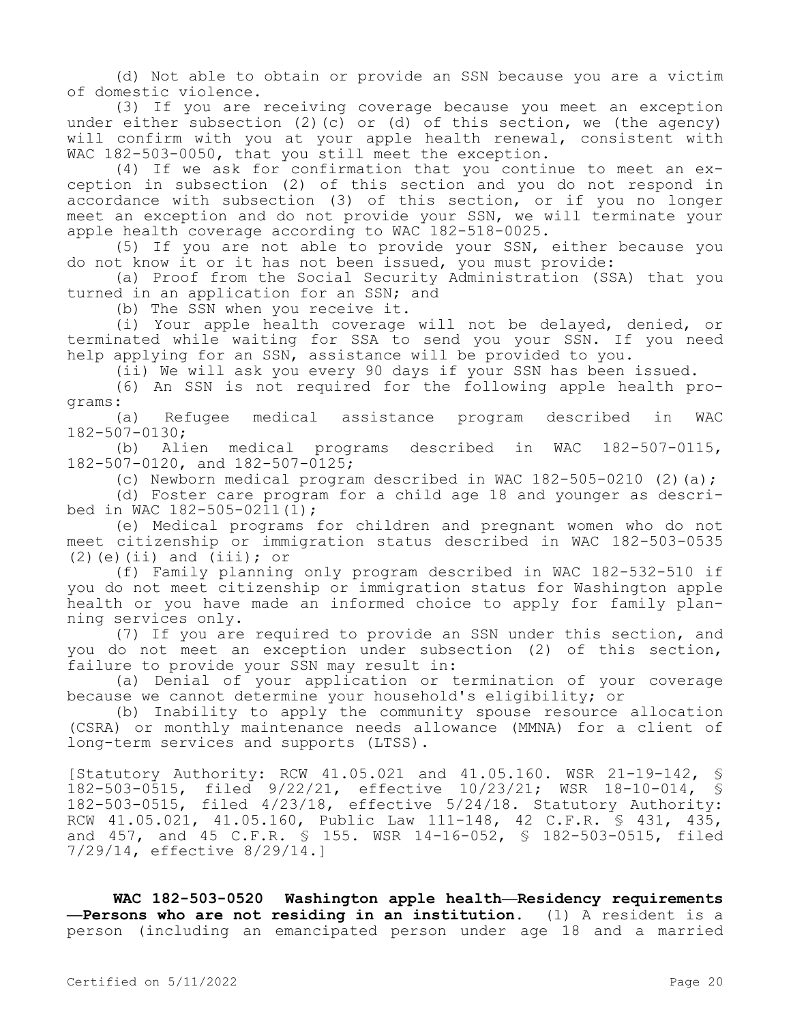(d) Not able to obtain or provide an SSN because you are a victim of domestic violence.

(3) If you are receiving coverage because you meet an exception under either subsection (2)(c) or (d) of this section, we (the agency) will confirm with you at your apple health renewal, consistent with WAC 182-503-0050, that you still meet the exception.

(4) If we ask for confirmation that you continue to meet an exception in subsection (2) of this section and you do not respond in accordance with subsection (3) of this section, or if you no longer meet an exception and do not provide your SSN, we will terminate your apple health coverage according to WAC 182-518-0025.

(5) If you are not able to provide your SSN, either because you do not know it or it has not been issued, you must provide:

(a) Proof from the Social Security Administration (SSA) that you turned in an application for an SSN; and

(b) The SSN when you receive it.

(i) Your apple health coverage will not be delayed, denied, or terminated while waiting for SSA to send you your SSN. If you need help applying for an SSN, assistance will be provided to you.

(ii) We will ask you every 90 days if your SSN has been issued.

(6) An SSN is not required for the following apple health programs:

(a) Refugee medical assistance program described in WAC 182-507-0130;

(b) Alien medical programs described in WAC 182-507-0115, 182-507-0120, and 182-507-0125;

(c) Newborn medical program described in WAC  $182-505-0210$  (2)(a);

(d) Foster care program for a child age 18 and younger as described in WAC 182-505-0211(1);

(e) Medical programs for children and pregnant women who do not meet citizenship or immigration status described in WAC 182-503-0535  $(2)$  (e)(ii) and (iii); or

(f) Family planning only program described in WAC 182-532-510 if you do not meet citizenship or immigration status for Washington apple health or you have made an informed choice to apply for family planning services only.

(7) If you are required to provide an SSN under this section, and you do not meet an exception under subsection (2) of this section, failure to provide your SSN may result in:

(a) Denial of your application or termination of your coverage because we cannot determine your household's eligibility; or

(b) Inability to apply the community spouse resource allocation (CSRA) or monthly maintenance needs allowance (MMNA) for a client of long-term services and supports (LTSS).

[Statutory Authority: RCW 41.05.021 and 41.05.160. WSR 21-19-142, § 182-503-0515, filed 9/22/21, effective 10/23/21; WSR 18-10-014, § 182-503-0515, filed 4/23/18, effective 5/24/18. Statutory Authority: RCW 41.05.021, 41.05.160, Public Law 111-148, 42 C.F.R. § 431, 435, and 457, and 45 C.F.R. § 155. WSR 14-16-052, § 182-503-0515, filed 7/29/14, effective 8/29/14.]

**WAC 182-503-0520 Washington apple health—Residency requirements —Persons who are not residing in an institution.** (1) A resident is a person (including an emancipated person under age 18 and a married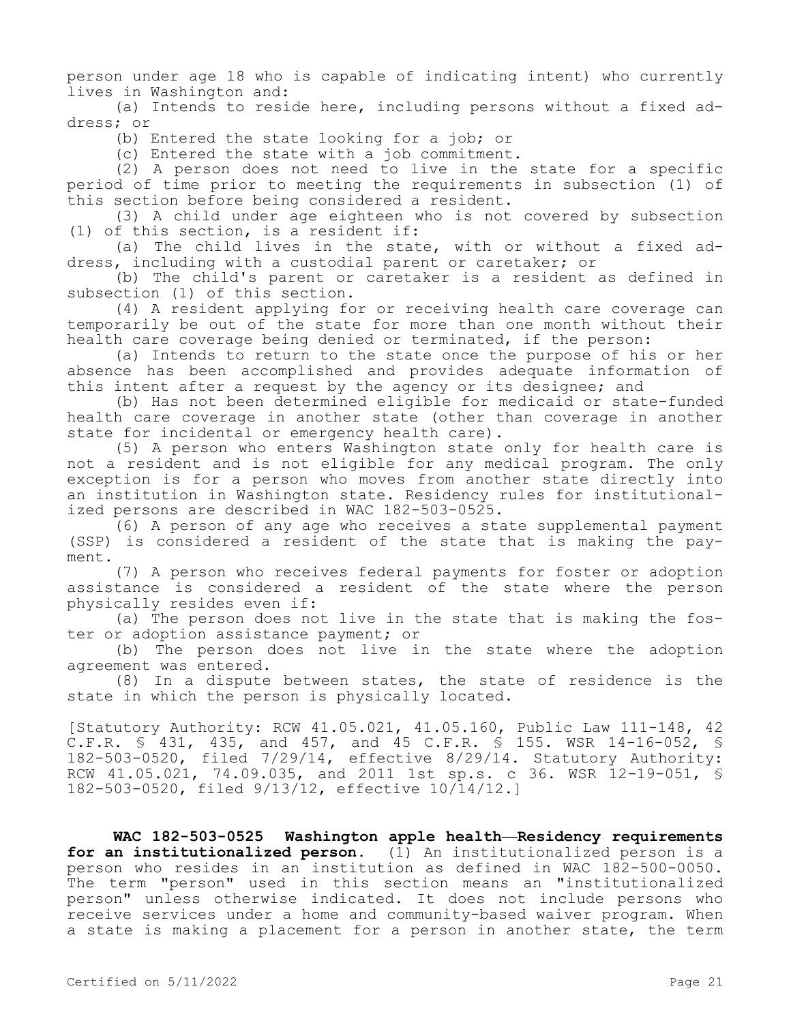person under age 18 who is capable of indicating intent) who currently lives in Washington and:

(a) Intends to reside here, including persons without a fixed address; or

(b) Entered the state looking for a job; or

(c) Entered the state with a job commitment.

(2) A person does not need to live in the state for a specific period of time prior to meeting the requirements in subsection (1) of this section before being considered a resident.

(3) A child under age eighteen who is not covered by subsection (1) of this section, is a resident if:

(a) The child lives in the state, with or without a fixed address, including with a custodial parent or caretaker; or

(b) The child's parent or caretaker is a resident as defined in subsection (1) of this section.

(4) A resident applying for or receiving health care coverage can temporarily be out of the state for more than one month without their health care coverage being denied or terminated, if the person:

(a) Intends to return to the state once the purpose of his or her absence has been accomplished and provides adequate information of this intent after a request by the agency or its designee; and

(b) Has not been determined eligible for medicaid or state-funded health care coverage in another state (other than coverage in another state for incidental or emergency health care).

(5) A person who enters Washington state only for health care is not a resident and is not eligible for any medical program. The only exception is for a person who moves from another state directly into an institution in Washington state. Residency rules for institutionalized persons are described in WAC 182-503-0525.

(6) A person of any age who receives a state supplemental payment (SSP) is considered a resident of the state that is making the payment.

(7) A person who receives federal payments for foster or adoption assistance is considered a resident of the state where the person physically resides even if:

(a) The person does not live in the state that is making the foster or adoption assistance payment; or

(b) The person does not live in the state where the adoption agreement was entered.

(8) In a dispute between states, the state of residence is the state in which the person is physically located.

[Statutory Authority: RCW 41.05.021, 41.05.160, Public Law 111-148, 42 C.F.R. § 431, 435, and 457, and 45 C.F.R. § 155. WSR 14-16-052, § 182-503-0520, filed 7/29/14, effective 8/29/14. Statutory Authority: RCW 41.05.021, 74.09.035, and 2011 1st sp.s. c 36. WSR 12-19-051, § 182-503-0520, filed 9/13/12, effective 10/14/12.]

**WAC 182-503-0525 Washington apple health—Residency requirements for an institutionalized person.** (1) An institutionalized person is a person who resides in an institution as defined in WAC 182-500-0050. The term "person" used in this section means an "institutionalized person" unless otherwise indicated. It does not include persons who receive services under a home and community-based waiver program. When a state is making a placement for a person in another state, the term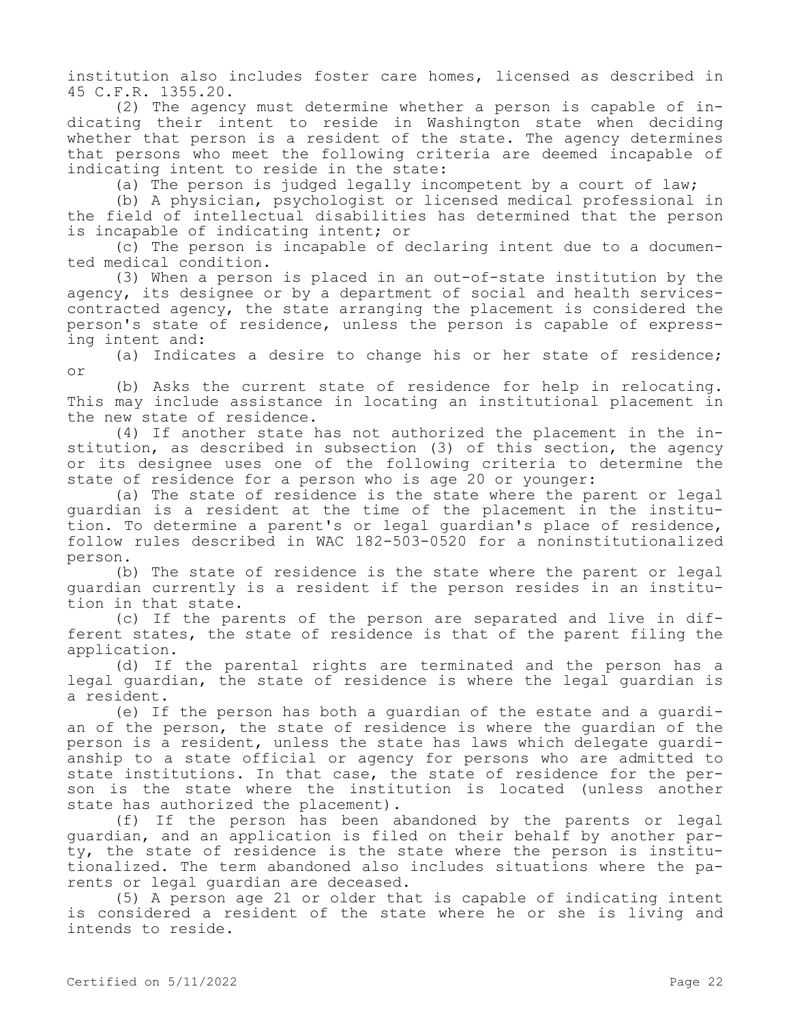institution also includes foster care homes, licensed as described in 45 C.F.R. 1355.20.

(2) The agency must determine whether a person is capable of indicating their intent to reside in Washington state when deciding whether that person is a resident of the state. The agency determines that persons who meet the following criteria are deemed incapable of indicating intent to reside in the state:

(a) The person is judged legally incompetent by a court of law;

(b) A physician, psychologist or licensed medical professional in the field of intellectual disabilities has determined that the person is incapable of indicating intent; or

(c) The person is incapable of declaring intent due to a documented medical condition.

(3) When a person is placed in an out-of-state institution by the agency, its designee or by a department of social and health servicescontracted agency, the state arranging the placement is considered the person's state of residence, unless the person is capable of expressing intent and:

(a) Indicates a desire to change his or her state of residence; or

(b) Asks the current state of residence for help in relocating. This may include assistance in locating an institutional placement in the new state of residence.

(4) If another state has not authorized the placement in the institution, as described in subsection (3) of this section, the agency or its designee uses one of the following criteria to determine the state of residence for a person who is age 20 or younger:

(a) The state of residence is the state where the parent or legal guardian is a resident at the time of the placement in the institution. To determine a parent's or legal guardian's place of residence, follow rules described in WAC 182-503-0520 for a noninstitutionalized person.

(b) The state of residence is the state where the parent or legal guardian currently is a resident if the person resides in an institution in that state.

(c) If the parents of the person are separated and live in different states, the state of residence is that of the parent filing the application.

(d) If the parental rights are terminated and the person has a legal guardian, the state of residence is where the legal guardian is a resident.

(e) If the person has both a guardian of the estate and a guardian of the person, the state of residence is where the guardian of the person is a resident, unless the state has laws which delegate guardianship to a state official or agency for persons who are admitted to state institutions. In that case, the state of residence for the person is the state where the institution is located (unless another state has authorized the placement).

(f) If the person has been abandoned by the parents or legal guardian, and an application is filed on their behalf by another party, the state of residence is the state where the person is institutionalized. The term abandoned also includes situations where the parents or legal guardian are deceased.

(5) A person age 21 or older that is capable of indicating intent is considered a resident of the state where he or she is living and intends to reside.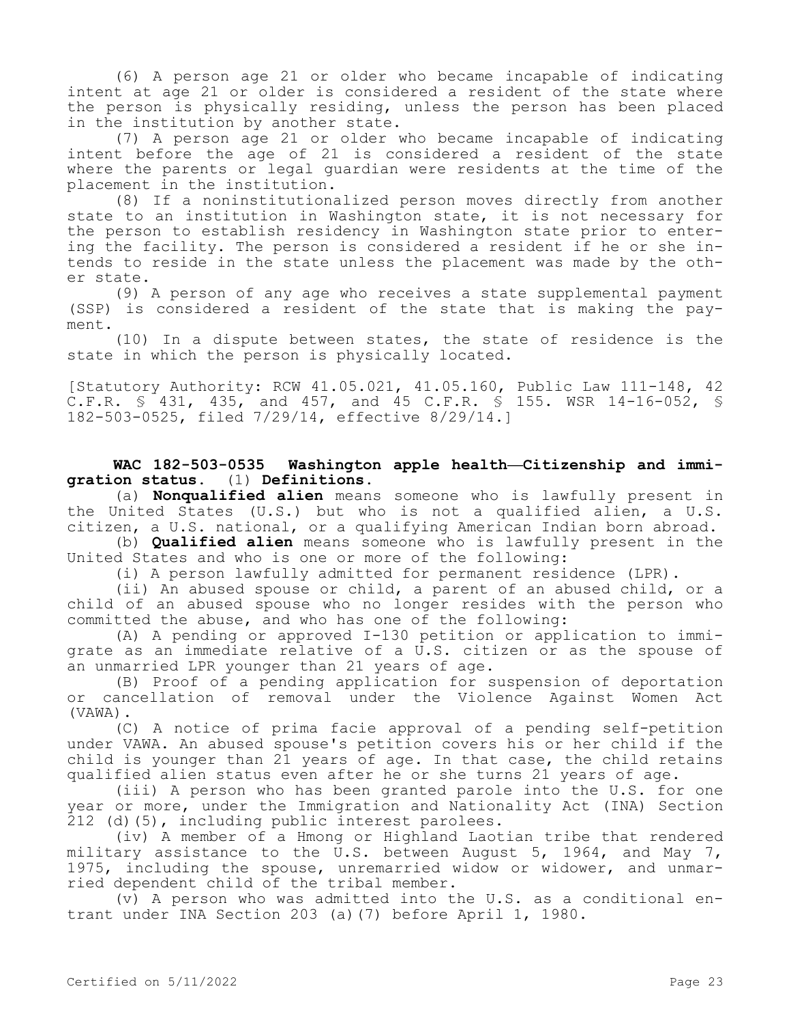(6) A person age 21 or older who became incapable of indicating intent at age 21 or older is considered a resident of the state where the person is physically residing, unless the person has been placed in the institution by another state.

(7) A person age 21 or older who became incapable of indicating intent before the age of 21 is considered a resident of the state where the parents or legal guardian were residents at the time of the placement in the institution.

(8) If a noninstitutionalized person moves directly from another state to an institution in Washington state, it is not necessary for the person to establish residency in Washington state prior to entering the facility. The person is considered a resident if he or she intends to reside in the state unless the placement was made by the other state.

(9) A person of any age who receives a state supplemental payment (SSP) is considered a resident of the state that is making the payment.

(10) In a dispute between states, the state of residence is the state in which the person is physically located.

[Statutory Authority: RCW 41.05.021, 41.05.160, Public Law 111-148, 42 C.F.R. § 431, 435, and 457, and 45 C.F.R. § 155. WSR 14-16-052, § 182-503-0525, filed 7/29/14, effective 8/29/14.]

# **WAC 182-503-0535 Washington apple health—Citizenship and immigration status.** (1) **Definitions.**

(a) **Nonqualified alien** means someone who is lawfully present in the United States (U.S.) but who is not a qualified alien, a U.S. citizen, a U.S. national, or a qualifying American Indian born abroad.

(b) **Qualified alien** means someone who is lawfully present in the United States and who is one or more of the following:

(i) A person lawfully admitted for permanent residence (LPR).

(ii) An abused spouse or child, a parent of an abused child, or a child of an abused spouse who no longer resides with the person who committed the abuse, and who has one of the following:

(A) A pending or approved I-130 petition or application to immigrate as an immediate relative of a U.S. citizen or as the spouse of an unmarried LPR younger than 21 years of age.

(B) Proof of a pending application for suspension of deportation or cancellation of removal under the Violence Against Women Act (VAWA).

(C) A notice of prima facie approval of a pending self-petition under VAWA. An abused spouse's petition covers his or her child if the child is younger than 21 years of age. In that case, the child retains qualified alien status even after he or she turns 21 years of age.

(iii) A person who has been granted parole into the U.S. for one year or more, under the Immigration and Nationality Act (INA) Section 212 (d)(5), including public interest parolees.

(iv) A member of a Hmong or Highland Laotian tribe that rendered military assistance to the U.S. between August 5, 1964, and May 7, 1975, including the spouse, unremarried widow or widower, and unmarried dependent child of the tribal member.

(v) A person who was admitted into the U.S. as a conditional entrant under INA Section 203 (a)(7) before April 1, 1980.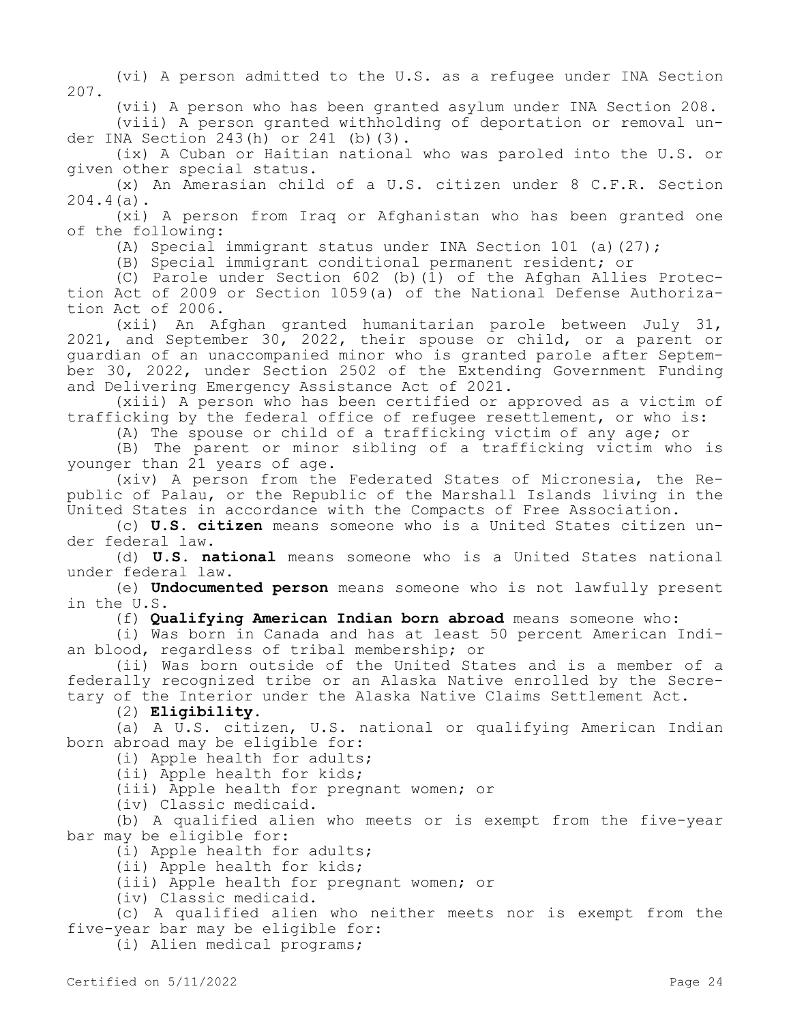(vi) A person admitted to the U.S. as a refugee under INA Section 207.

(vii) A person who has been granted asylum under INA Section 208.

(viii) A person granted withholding of deportation or removal under INA Section 243(h) or 241 (b)(3).

(ix) A Cuban or Haitian national who was paroled into the U.S. or given other special status.

(x) An Amerasian child of a U.S. citizen under 8 C.F.R. Section 204.4(a).

(xi) A person from Iraq or Afghanistan who has been granted one of the following:

(A) Special immigrant status under INA Section 101 (a)(27);

(B) Special immigrant conditional permanent resident; or

(C) Parole under Section 602 (b)( $\overline{1}$ ) of the Afghan Allies Protection Act of 2009 or Section 1059(a) of the National Defense Authorization Act of 2006.

(xii) An Afghan granted humanitarian parole between July 31, 2021, and September 30, 2022, their spouse or child, or a parent or guardian of an unaccompanied minor who is granted parole after September 30, 2022, under Section 2502 of the Extending Government Funding and Delivering Emergency Assistance Act of 2021.

(xiii) A person who has been certified or approved as a victim of trafficking by the federal office of refugee resettlement, or who is:

(A) The spouse or child of a trafficking victim of any age; or

(B) The parent or minor sibling of a trafficking victim who is younger than 21 years of age.

(xiv) A person from the Federated States of Micronesia, the Republic of Palau, or the Republic of the Marshall Islands living in the United States in accordance with the Compacts of Free Association.

(c) **U.S. citizen** means someone who is a United States citizen under federal law.

(d) **U.S. national** means someone who is a United States national under federal law.

(e) **Undocumented person** means someone who is not lawfully present in the U.S.

(f) **Qualifying American Indian born abroad** means someone who:

(i) Was born in Canada and has at least 50 percent American Indian blood, regardless of tribal membership; or

(ii) Was born outside of the United States and is a member of a federally recognized tribe or an Alaska Native enrolled by the Secretary of the Interior under the Alaska Native Claims Settlement Act.

(2) **Eligibility**.

(a) A U.S. citizen, U.S. national or qualifying American Indian born abroad may be eligible for:

(i) Apple health for adults;

(ii) Apple health for kids;

(iii) Apple health for pregnant women; or

(iv) Classic medicaid.

(b) A qualified alien who meets or is exempt from the five-year bar may be eligible for:

(i) Apple health for adults;

(ii) Apple health for kids;

(iii) Apple health for pregnant women; or

(iv) Classic medicaid.

(c) A qualified alien who neither meets nor is exempt from the five-year bar may be eligible for:

(i) Alien medical programs;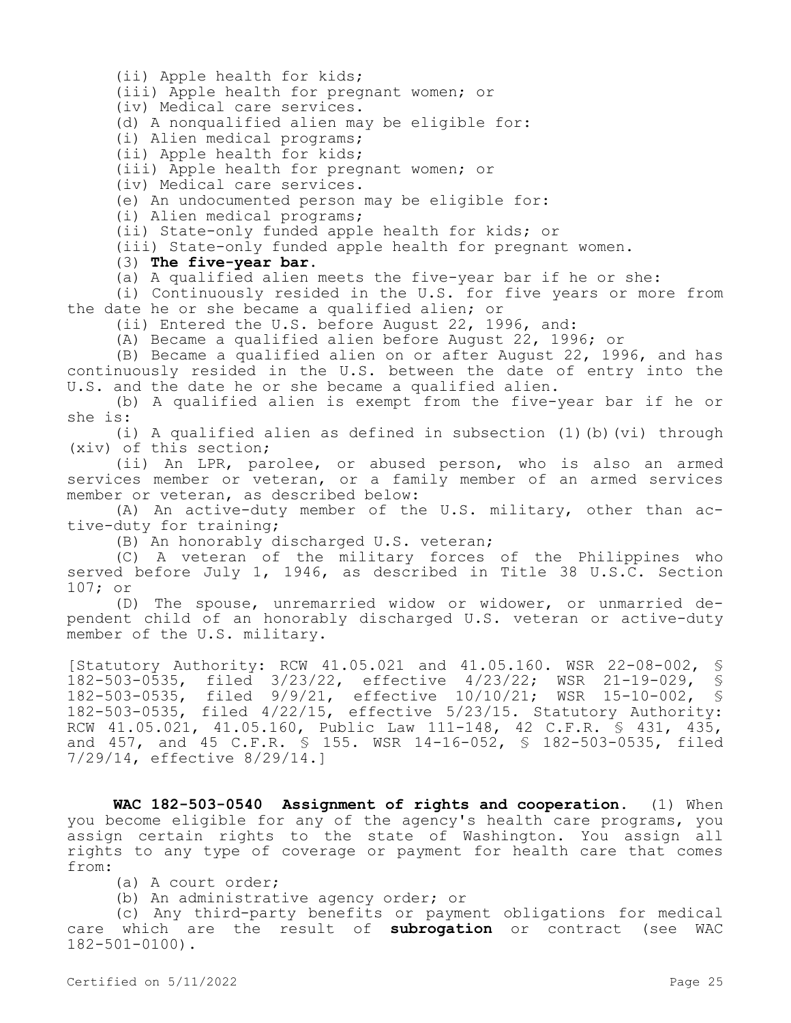(ii) Apple health for kids;

(iii) Apple health for pregnant women; or

(iv) Medical care services.

(d) A nonqualified alien may be eligible for:

(i) Alien medical programs;

(ii) Apple health for kids;

(iii) Apple health for pregnant women; or

(iv) Medical care services.

(e) An undocumented person may be eligible for:

(i) Alien medical programs;

(ii) State-only funded apple health for kids; or

(iii) State-only funded apple health for pregnant women.

(3) **The five-year bar.**

(a) A qualified alien meets the five-year bar if he or she:

(i) Continuously resided in the U.S. for five years or more from the date he or she became a qualified alien; or

(ii) Entered the U.S. before August 22, 1996, and:

(A) Became a qualified alien before August 22, 1996; or

(B) Became a qualified alien on or after August 22, 1996, and has continuously resided in the U.S. between the date of entry into the U.S. and the date he or she became a qualified alien.

(b) A qualified alien is exempt from the five-year bar if he or she is:

(i) A qualified alien as defined in subsection (1)(b)(vi) through (xiv) of this section;

(ii) An LPR, parolee, or abused person, who is also an armed services member or veteran, or a family member of an armed services member or veteran, as described below:

(A) An active-duty member of the U.S. military, other than active-duty for training;

(B) An honorably discharged U.S. veteran;

(C) A veteran of the military forces of the Philippines who served before July 1, 1946, as described in Title 38 U.S.C. Section 107; or

(D) The spouse, unremarried widow or widower, or unmarried dependent child of an honorably discharged U.S. veteran or active-duty member of the U.S. military.

[Statutory Authority: RCW 41.05.021 and 41.05.160. WSR 22-08-002, § 182-503-0535, filed 3/23/22, effective 4/23/22; WSR 21-19-029, § 182-503-0535, filed 9/9/21, effective 10/10/21; WSR 15-10-002, 182-503-0535, filed 4/22/15, effective 5/23/15. Statutory Authority: RCW 41.05.021, 41.05.160, Public Law 111-148, 42 C.F.R. § 431, 435, and 457, and 45 C.F.R. § 155. WSR 14-16-052, § 182-503-0535, filed 7/29/14, effective 8/29/14.]

**WAC 182-503-0540 Assignment of rights and cooperation.** (1) When you become eligible for any of the agency's health care programs, you assign certain rights to the state of Washington. You assign all rights to any type of coverage or payment for health care that comes from:

(a) A court order;

(b) An administrative agency order; or

(c) Any third-party benefits or payment obligations for medical care which are the result of **subrogation** or contract (see WAC 182-501-0100).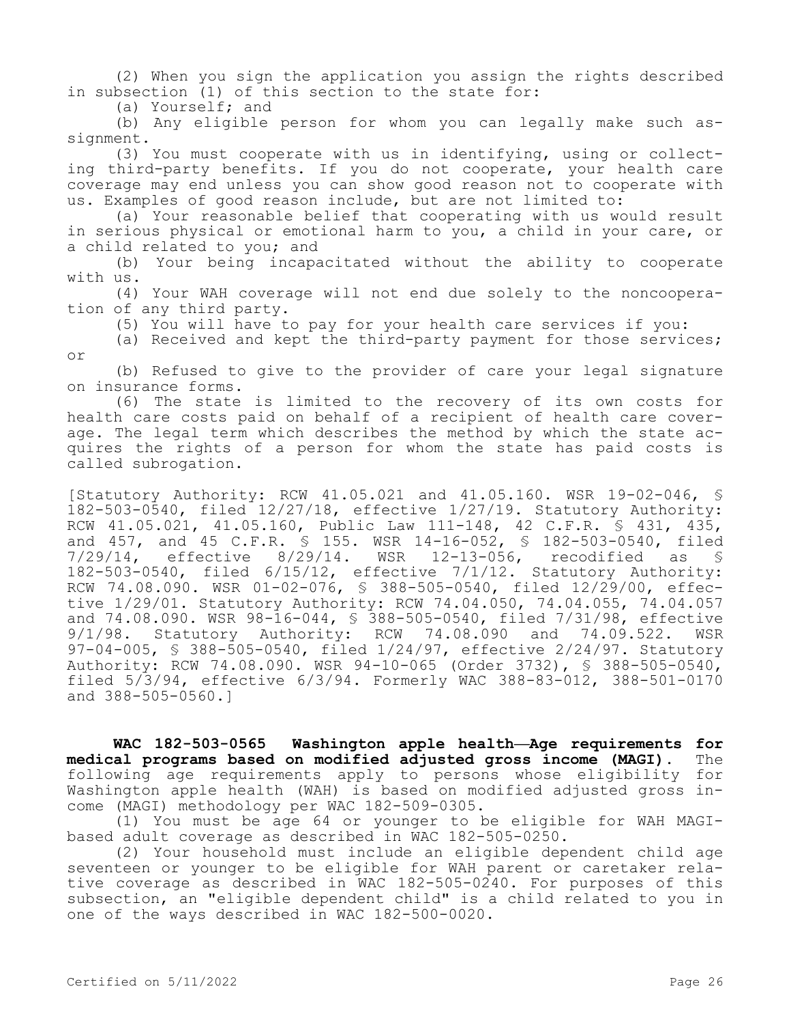(2) When you sign the application you assign the rights described in subsection (1) of this section to the state for:

(a) Yourself; and

(b) Any eligible person for whom you can legally make such assignment.

(3) You must cooperate with us in identifying, using or collecting third-party benefits. If you do not cooperate, your health care coverage may end unless you can show good reason not to cooperate with us. Examples of good reason include, but are not limited to:

(a) Your reasonable belief that cooperating with us would result in serious physical or emotional harm to you, a child in your care, or a child related to you; and

(b) Your being incapacitated without the ability to cooperate with us.

(4) Your WAH coverage will not end due solely to the noncooperation of any third party.

(5) You will have to pay for your health care services if you:

(a) Received and kept the third-party payment for those services; or

(b) Refused to give to the provider of care your legal signature on insurance forms.

(6) The state is limited to the recovery of its own costs for health care costs paid on behalf of a recipient of health care coverage. The legal term which describes the method by which the state acquires the rights of a person for whom the state has paid costs is called subrogation.

[Statutory Authority: RCW 41.05.021 and 41.05.160. WSR 19-02-046, § 182-503-0540, filed 12/27/18, effective 1/27/19. Statutory Authority: RCW 41.05.021, 41.05.160, Public Law 111-148, 42 C.F.R. § 431, 435, and 457, and 45 C.F.R. § 155. WSR 14-16-052, § 182-503-0540, filed 7/29/14, effective 8/29/14. WSR 12-13-056, recodified as § 182-503-0540, filed 6/15/12, effective 7/1/12. Statutory Authority: RCW 74.08.090. WSR 01-02-076, § 388-505-0540, filed 12/29/00, effective 1/29/01. Statutory Authority: RCW 74.04.050, 74.04.055, 74.04.057 and 74.08.090. WSR 98-16-044, § 388-505-0540, filed 7/31/98, effective 9/1/98. Statutory Authority: RCW 74.08.090 and 74.09.522. WSR 97-04-005, § 388-505-0540, filed 1/24/97, effective 2/24/97. Statutory Authority: RCW 74.08.090. WSR 94-10-065 (Order 3732), § 388-505-0540, filed 5/3/94, effective 6/3/94. Formerly WAC 388-83-012, 388-501-0170 and 388-505-0560.]

**WAC 182-503-0565 Washington apple health—Age requirements for medical programs based on modified adjusted gross income (MAGI).** The following age requirements apply to persons whose eligibility for Washington apple health (WAH) is based on modified adjusted gross income (MAGI) methodology per WAC 182-509-0305.

(1) You must be age 64 or younger to be eligible for WAH MAGIbased adult coverage as described in WAC 182-505-0250.

(2) Your household must include an eligible dependent child age seventeen or younger to be eligible for WAH parent or caretaker relative coverage as described in WAC 182-505-0240. For purposes of this subsection, an "eligible dependent child" is a child related to you in one of the ways described in WAC 182-500-0020.